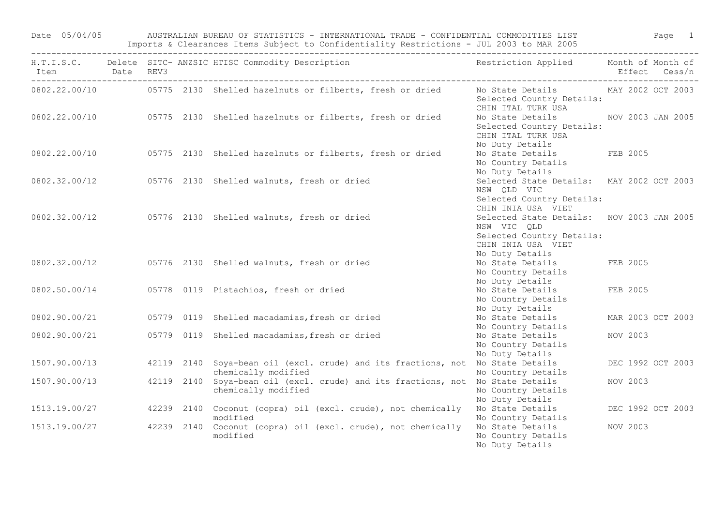Date 05/04/05 AUSTRALIAN BUREAU OF STATISTICS - INTERNATIONAL TRADE - CONFIDENTIAL COMMODITIES LIST Page 1 Imports & Clearances Items Subject to Confidentiality Restrictions - JUL 2003 to MAR 2005

| Item Date REV3<br>--------- |  | ------------------------<br>H.T.I.S.C. Delete SITC-ANZSIC HTISC Commodity Description Nestriction Applied Month of Month of |                                                                                                                                |                   | Effect Cess/n     |
|-----------------------------|--|-----------------------------------------------------------------------------------------------------------------------------|--------------------------------------------------------------------------------------------------------------------------------|-------------------|-------------------|
|                             |  | 0802.22.00/10   05775 2130 Shelled hazelnuts or filberts, fresh or dried                                                    | No State Details MAY 2002 OCT 2003<br>Selected Country Details:<br>CHIN ITAL TURK USA                                          |                   |                   |
|                             |  | 0802.22.00/10 05775 2130 Shelled hazelnuts or filberts, fresh or dried                                                      | No State Details MOV 2003 JAN 2005<br>Selected Country Details:<br>CHIN ITAL TURK USA<br>No Duty Details                       |                   |                   |
|                             |  | 0802.22.00/10 05775 2130 Shelled hazelnuts or filberts, fresh or dried                                                      | No State Details FEB 2005<br>No Country Details<br>No Duty Details                                                             |                   |                   |
|                             |  | 0802.32.00/12 05776 2130 Shelled walnuts, fresh or dried                                                                    | Selected State Details: MAY 2002 OCT 2003<br>NSW QLD VIC<br>Selected Country Details:<br>CHIN INIA USA VIET                    |                   |                   |
|                             |  | 0802.32.00/12 05776 2130 Shelled walnuts, fresh or dried                                                                    | Selected State Details: NOV 2003 JAN 2005<br>NSW VIC QLD<br>Selected Country Details:<br>CHIN INIA USA VIET<br>No Duty Details |                   |                   |
|                             |  | 0802.32.00/12   05776   2130   Shelled walnuts, fresh or dried                                                              | No State Details<br>No Country Details<br>No Duty Details                                                                      | FEB 2005          |                   |
|                             |  | 0802.50.00/14 05778 0119 Pistachios, fresh or dried                                                                         | No State Details<br>No Country Details<br>No Duty Details                                                                      | FEB 2005          |                   |
|                             |  | 0802.90.00/21  05779 0119 Shelled macadamias, fresh or dried                                                                | No State Details<br>No Country Details                                                                                         | MAR 2003 OCT 2003 |                   |
| 0802.90.00/21               |  | 05779 0119 Shelled macadamias, fresh or dried                                                                               | No State Details<br>No Country Details<br>No Duty Details                                                                      | NOV 2003          |                   |
| 1507.90.00/13               |  | 42119 2140 Soya-bean oil (excl. crude) and its fractions, not No State Details<br>chemically modified                       | No Country Details                                                                                                             |                   | DEC 1992 OCT 2003 |
| 1507.90.00/13               |  | 42119 2140 Soya-bean oil (excl. crude) and its fractions, not No State Details<br>chemically modified                       | No Country Details<br>No Duty Details                                                                                          | NOV 2003          |                   |
|                             |  | 1513.19.00/27 42239 2140 Coconut (copra) oil (excl. crude), not chemically<br>modified                                      | No State Details<br>No Country Details                                                                                         | DEC 1992 OCT 2003 |                   |
| 1513.19.00/27               |  | 42239 2140 Coconut (copra) oil (excl. crude), not chemically<br>modified                                                    | No State Details<br>No Country Details<br>No Duty Details                                                                      | NOV 2003          |                   |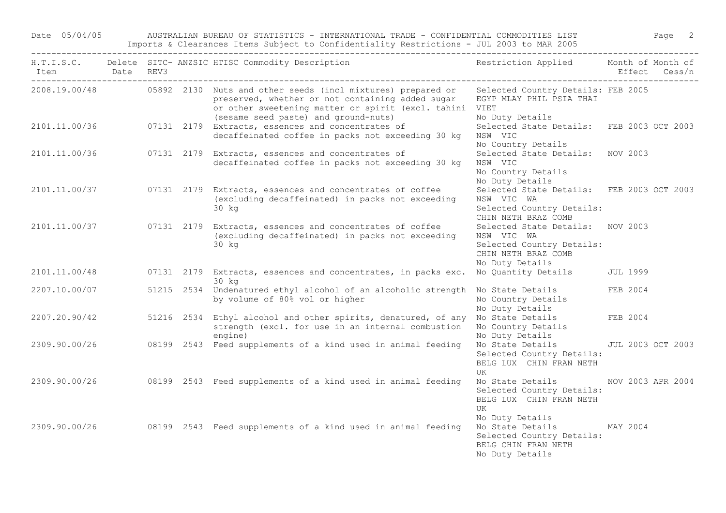Date 05/04/05 AUSTRALIAN BUREAU OF STATISTICS - INTERNATIONAL TRADE - CONFIDENTIAL COMMODITIES LIST Page 2 Imports & Clearances Items Subject to Confidentiality Restrictions - JUL 2003 to MAR 2005

| Item Date REV3 |  | H.T.I.S.C. Delete SITC- ANZSIC HTISC Commodity Description                                                                                                                                                                                                          | Restriction Applied Month of Month of                                                                                 |          | Effect Cess/n |
|----------------|--|---------------------------------------------------------------------------------------------------------------------------------------------------------------------------------------------------------------------------------------------------------------------|-----------------------------------------------------------------------------------------------------------------------|----------|---------------|
|                |  | 2008.19.00/48 05892 2130 Nuts and other seeds (incl mixtures) prepared or Selected Country Details: FEB 2005<br>preserved, whether or not containing added sugar<br>or other sweetening matter or spirit (excl. tahini VIET<br>(sesame seed paste) and ground-nuts) | EGYP MLAY PHIL PSIA THAI<br>No Duty Details                                                                           |          |               |
|                |  | 2101.11.00/36 07131 2179 Extracts, essences and concentrates of<br>decaffeinated coffee in packs not exceeding 30 kg                                                                                                                                                | Selected State Details: FEB 2003 OCT 2003<br>NSW VIC<br>No Country Details                                            |          |               |
|                |  | 2101.11.00/36 07131 2179 Extracts, essences and concentrates of<br>decaffeinated coffee in packs not exceeding 30 kg                                                                                                                                                | Selected State Details: NOV 2003<br>NSW VIC<br>No Country Details<br>No Duty Details                                  |          |               |
| 2101.11.00/37  |  | 07131 2179 Extracts, essences and concentrates of coffee<br>(excluding decaffeinated) in packs not exceeding<br>30 kg                                                                                                                                               | Selected State Details: FEB 2003 OCT 2003<br>NSW VIC WA<br>Selected Country Details:<br>CHIN NETH BRAZ COMB           |          |               |
|                |  | 2101.11.00/37 07131 2179 Extracts, essences and concentrates of coffee<br>(excluding decaffeinated) in packs not exceeding<br>30 kg                                                                                                                                 | Selected State Details: NOV 2003<br>NSW VIC WA<br>Selected Country Details:<br>CHIN NETH BRAZ COMB<br>No Duty Details |          |               |
| 2101.11.00/48  |  | 07131 2179 Extracts, essences and concentrates, in packs exc.<br>30 kg                                                                                                                                                                                              | No Quantity Details                                                                                                   | JUL 1999 |               |
| 2207.10.00/07  |  | 51215 2534 Undenatured ethyl alcohol of an alcoholic strength No State Details<br>by volume of 80% vol or higher                                                                                                                                                    | No Country Details<br>No Duty Details                                                                                 | FEB 2004 |               |
| 2207.20.90/42  |  | 51216 2534 Ethyl alcohol and other spirits, denatured, of any No State Details FEB 2004<br>strength (excl. for use in an internal combustion<br>engine)                                                                                                             | No Country Details<br>No Duty Details                                                                                 |          |               |
| 2309.90.00/26  |  | 08199 2543 Feed supplements of a kind used in animal feeding                                                                                                                                                                                                        | No State Details JUL 2003 OCT 2003<br>Selected Country Details:<br>BELG LUX CHIN FRAN NETH<br>UK                      |          |               |
| 2309.90.00/26  |  | 08199 2543 Feed supplements of a kind used in animal feeding                                                                                                                                                                                                        | No State Details MOV 2003 APR 2004<br>Selected Country Details:<br>BELG LUX CHIN FRAN NETH<br>UK<br>No Duty Details   |          |               |
| 2309.90.00/26  |  | 08199 2543 Feed supplements of a kind used in animal feeding                                                                                                                                                                                                        | No State Details<br>Selected Country Details:<br>BELG CHIN FRAN NETH<br>No Duty Details                               | MAY 2004 |               |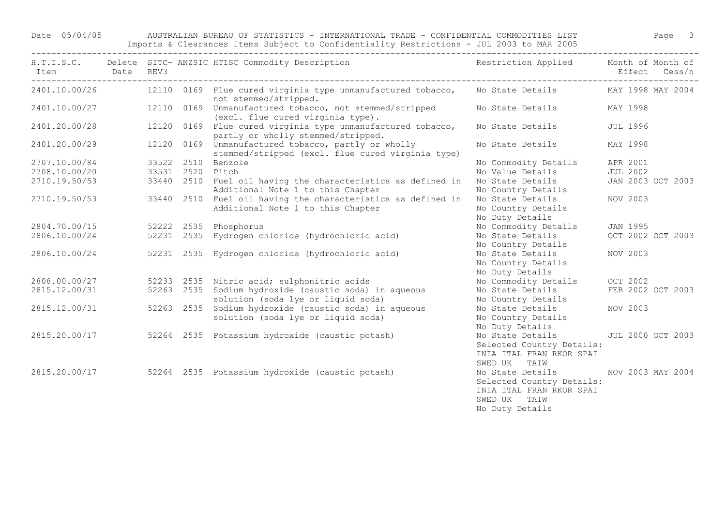## Date 05/04/05 AUSTRALIAN BUREAU OF STATISTICS - INTERNATIONAL TRADE - CONFIDENTIAL COMMODITIES LIST Page 3

Imports & Clearances Items Subject to Confidentiality Restrictions - JUL 2003 to MAR 2005 ------------------------------------------------------------------------------------------------------------------------------------

| Item Date REV3<br>--------------------------------- |                  |            | H.T.I.S.C. Delete SITC- ANZSIC HTISC Commodity Description                                               | Restriction Applied Month of Month of                                                                        |                          | Effect Cess/n |
|-----------------------------------------------------|------------------|------------|----------------------------------------------------------------------------------------------------------|--------------------------------------------------------------------------------------------------------------|--------------------------|---------------|
|                                                     |                  |            | 2401.10.00/26 12110 0169 Flue cured virginia type unmanufactured tobacco,<br>not stemmed/stripped.       | No State Details                                                                                             | MAY 1998 MAY 2004        |               |
| 2401.10.00/27                                       |                  |            | 12110 0169 Unmanufactured tobacco, not stemmed/stripped<br>(excl. flue cured virginia type).             | No State Details                                                                                             | MAY 1998                 |               |
| 2401.20.00/28                                       |                  |            | 12120 0169 Flue cured virginia type unmanufactured tobacco,<br>partly or wholly stemmed/stripped.        | No State Details                                                                                             | <b>JUL 1996</b>          |               |
| 2401.20.00/29                                       |                  |            | 12120 0169 Unmanufactured tobacco, partly or wholly<br>stemmed/stripped (excl. flue cured virginia type) | No State Details                                                                                             | MAY 1998                 |               |
| 2707.10.00/84                                       |                  |            | 33522 2510 Benzole                                                                                       | No Commodity Details                                                                                         | APR 2001                 |               |
| 2708.10.00/20                                       | 33531 2520 Pitch |            |                                                                                                          | No Value Details                                                                                             | <b>JUL 2002</b>          |               |
| 2710.19.50/53                                       |                  |            | 33440 2510 Fuel oil having the characteristics as defined in<br>Additional Note 1 to this Chapter        | No State Details<br>No Country Details                                                                       | JAN 2003 OCT 2003        |               |
| 2710.19.50/53                                       |                  | 33440 2510 | Fuel oil having the characteristics as defined in<br>Additional Note 1 to this Chapter                   | No State Details<br>No Country Details<br>No Duty Details                                                    | NOV 2003                 |               |
| 2804.70.00/15                                       |                  |            | 52222 2535 Phosphorus                                                                                    | No Commodity Details                                                                                         | JAN 1995                 |               |
| 2806.10.00/24                                       |                  | 52231 2535 | Hydrogen chloride (hydrochloric acid)                                                                    | No State Details<br>No Country Details                                                                       | OCT 2002 OCT 2003        |               |
| 2806.10.00/24                                       | 52231 2535       |            | Hydrogen chloride (hydrochloric acid)                                                                    | No State Details<br>No Country Details<br>No Duty Details                                                    | NOV 2003                 |               |
| 2808.00.00/27                                       |                  |            | 52233 2535 Nitric acid; sulphonitric acids                                                               | No Commodity Details                                                                                         | OCT 2002                 |               |
| 2815.12.00/31                                       | 52263 2535       |            | Sodium hydroxide (caustic soda) in aqueous<br>solution (soda lye or liquid soda)                         | No State Details<br>No Country Details                                                                       | FEB 2002 OCT 2003        |               |
| 2815.12.00/31                                       |                  | 52263 2535 | Sodium hydroxide (caustic soda) in aqueous<br>solution (soda lye or liquid soda)                         | No State Details<br>No Country Details<br>No Duty Details                                                    | NOV 2003                 |               |
| 2815.20.00/17                                       |                  |            | 52264 2535 Potassium hydroxide (caustic potash)                                                          | No State Details<br>Selected Country Details:<br>INIA ITAL FRAN RKOR SPAI<br>SWED UK TAIW                    | <b>JUL 2000 OCT 2003</b> |               |
| 2815.20.00/17                                       |                  |            | 52264 2535 Potassium hydroxide (caustic potash)                                                          | No State Details<br>Selected Country Details:<br>INIA ITAL FRAN RKOR SPAI<br>SWED UK TAIW<br>No Duty Details | NOV 2003 MAY 2004        |               |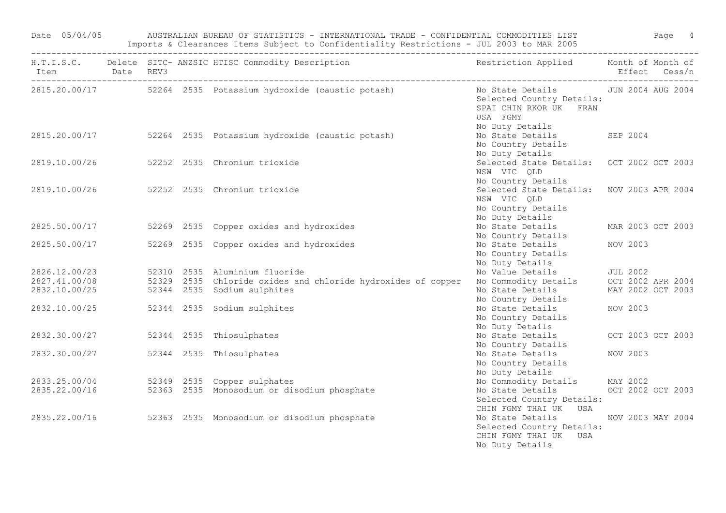| Item Date REV3                         |  | H.T.I.S.C. Delete SITC-ANZSIC HTISC Commodity Description The Sestriction Applied Month of Month of |                                                                                                                               |                   | Effect Cess/n |
|----------------------------------------|--|-----------------------------------------------------------------------------------------------------|-------------------------------------------------------------------------------------------------------------------------------|-------------------|---------------|
|                                        |  |                                                                                                     |                                                                                                                               |                   |               |
|                                        |  | 2815.20.00/17 52264 2535 Potassium hydroxide (caustic potash)                                       | No State Details 5000 JUN 2004 AUG 2004<br>Selected Country Details:<br>SPAI CHIN RKOR UK FRAN<br>USA FGMY<br>No Duty Details |                   |               |
|                                        |  | 2815.20.00/17 52264 2535 Potassium hydroxide (caustic potash)                                       | No State Details SEP 2004<br>No Country Details<br>No Duty Details                                                            |                   |               |
| 2819.10.00/26                          |  | 52252 2535 Chromium trioxide                                                                        | Selected State Details: OCT 2002 OCT 2003<br>NSW VIC QLD<br>No Country Details                                                |                   |               |
|                                        |  | 2819.10.00/26 52252 2535 Chromium trioxide                                                          | Selected State Details: NOV 2003 APR 2004<br>NSW VIC QLD<br>No Country Details<br>No Duty Details                             |                   |               |
|                                        |  | 2825.50.00/17 52269 2535 Copper oxides and hydroxides                                               | No State Details<br>No Country Details                                                                                        | MAR 2003 OCT 2003 |               |
| 2825.50.00/17                          |  | 52269 2535 Copper oxides and hydroxides                                                             | No State Details<br>No Country Details<br>No Duty Details                                                                     | NOV 2003          |               |
| 2826.12.00/23                          |  |                                                                                                     |                                                                                                                               |                   |               |
| 2827.41.00/08                          |  | 52310  2535  Aluminium fluoride<br>52329  2535  Chloride oxides and chloride hydroxides of copper   | No Value Details 5000 JUL 2002<br>No Commodity Details 60CT 2002 APR 2004                                                     |                   |               |
| 2832.10.00/25                          |  | 52344 2535 Sodium sulphites                                                                         | No State Details<br>No Country Details                                                                                        | MAY 2002 OCT 2003 |               |
|                                        |  | 2832.10.00/25 52344 2535 Sodium sulphites                                                           | No State Details<br>No Country Details<br>No Duty Details                                                                     | NOV 2003          |               |
| 2832.30.00/27 52344 2535 Thiosulphates |  |                                                                                                     | No State Details OCT 2003 OCT 2003<br>No Country Details                                                                      |                   |               |
| 2832.30.00/27                          |  | 52344 2535 Thiosulphates                                                                            | No State Details<br>No Country Details<br>No Duty Details                                                                     | NOV 2003          |               |
|                                        |  | 2833.25.00/04 52349 2535 Copper sulphates                                                           | No Commodity Details MAY 2002                                                                                                 |                   |               |
| 2835.22.00/16                          |  | 52363 2535 Monosodium or disodium phosphate                                                         | No State Details OCT 2002 OCT 2003<br>Selected Country Details:<br>CHIN FGMY THAI UK USA                                      |                   |               |
|                                        |  | 2835.22.00/16 52363 2535 Monosodium or disodium phosphate                                           | No State Details<br>Selected Country Details:<br>CHIN FGMY THAI UK USA<br>No Duty Details                                     | NOV 2003 MAY 2004 |               |

Date 05/04/05 AUSTRALIAN BUREAU OF STATISTICS - INTERNATIONAL TRADE - CONFIDENTIAL COMMODITIES LIST Page 4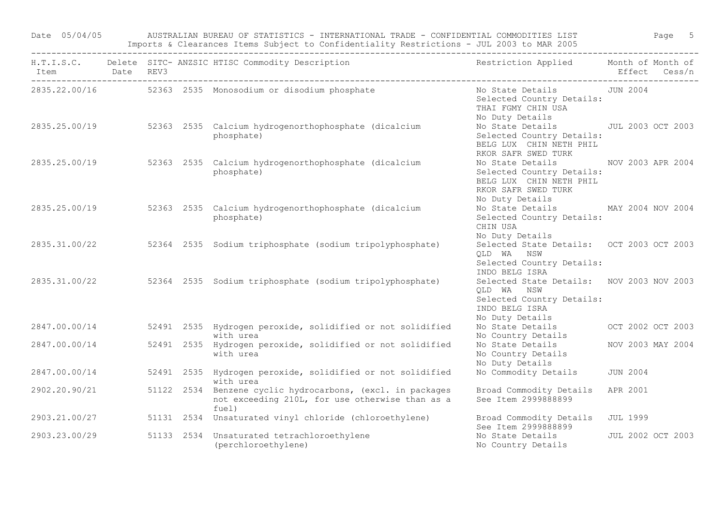Date 05/04/05 AUSTRALIAN BUREAU OF STATISTICS - INTERNATIONAL TRADE - CONFIDENTIAL COMMODITIES LIST Page 5 Imports & Clearances Items Subject to Confidentiality Restrictions - JUL 2003 to MAR 2005

| Item Date REV3 |  | H.T.I.S.C. Delete SITC- ANZSIC HTISC Commodity Description Nestriction Applied Month of Month of                       |                                                                                                                           | Effect Cess/n     |  |
|----------------|--|------------------------------------------------------------------------------------------------------------------------|---------------------------------------------------------------------------------------------------------------------------|-------------------|--|
|                |  | 2835.22.00/16 52363 2535 Monosodium or disodium phosphate                                                              | No State Details 5000 JUN 2004<br>Selected Country Details:<br>THAI FGMY CHIN USA<br>No Duty Details                      |                   |  |
| 2835.25.00/19  |  | 52363 2535 Calcium hydrogenorthophosphate (dicalcium<br>phosphate)                                                     | No State Details JUL 2003 OCT 2003<br>Selected Country Details:<br>BELG LUX CHIN NETH PHIL<br>RKOR SAFR SWED TURK         |                   |  |
|                |  | 2835.25.00/19 52363 2535 Calcium hydrogenorthophosphate (dicalcium<br>phosphate)                                       | No State Details<br>Selected Country Details:<br>BELG LUX CHIN NETH PHIL<br>RKOR SAFR SWED TURK<br>No Duty Details        | NOV 2003 APR 2004 |  |
| 2835.25.00/19  |  | 52363 2535 Calcium hydrogenorthophosphate (dicalcium<br>phosphate)                                                     | No State Details MAY 2004 NOV 2004<br>Selected Country Details:<br>CHIN USA<br>No Duty Details                            |                   |  |
| 2835.31.00/22  |  | 52364 2535 Sodium triphosphate (sodium tripolyphosphate)                                                               | Selected State Details: OCT 2003 OCT 2003<br>QLD WA NSW<br>Selected Country Details:<br>INDO BELG ISRA                    |                   |  |
| 2835.31.00/22  |  | 52364 2535 Sodium triphosphate (sodium tripolyphosphate)                                                               | Selected State Details: NOV 2003 NOV 2003<br>QLD WA NSW<br>Selected Country Details:<br>INDO BELG ISRA<br>No Duty Details |                   |  |
| 2847.00.00/14  |  | 52491 2535 Hydrogen peroxide, solidified or not solidified<br>with urea                                                | No State Details OCT 2002 OCT 2003<br>No Country Details                                                                  |                   |  |
| 2847.00.00/14  |  | 52491 2535 Hydrogen peroxide, solidified or not solidified<br>with urea                                                | No State Details<br>No Country Details<br>No Duty Details                                                                 | NOV 2003 MAY 2004 |  |
| 2847.00.00/14  |  | 52491 2535 Hydrogen peroxide, solidified or not solidified<br>with urea                                                | No Commodity Details                                                                                                      | <b>JUN 2004</b>   |  |
| 2902.20.90/21  |  | 51122 2534 Benzene cyclic hydrocarbons, (excl. in packages<br>not exceeding 210L, for use otherwise than as a<br>fuel) | Broad Commodity Details<br>See Item 2999888899                                                                            | APR 2001          |  |
| 2903.21.00/27  |  | 51131 2534 Unsaturated vinyl chloride (chloroethylene)                                                                 | Broad Commodity Details<br>See Item 2999888899                                                                            | <b>JUL 1999</b>   |  |
| 2903.23.00/29  |  | 51133 2534 Unsaturated tetrachloroethylene<br>(perchloroethylene)                                                      | No State Details<br>No Country Details                                                                                    | JUL 2002 OCT 2003 |  |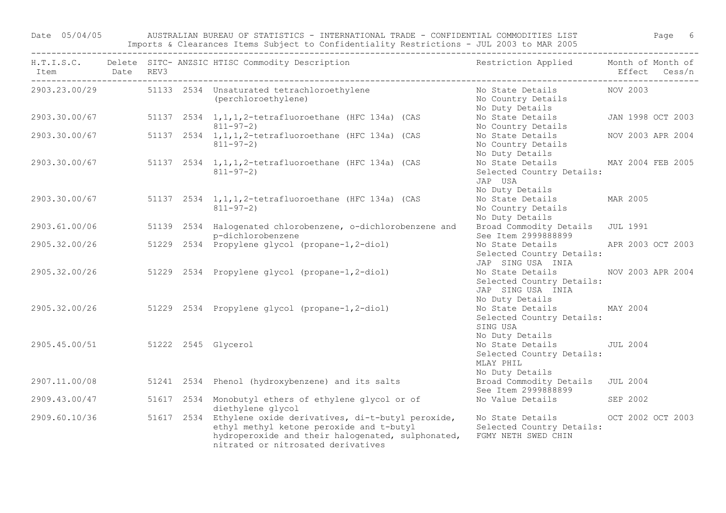Date 05/04/05 AUSTRALIAN BUREAU OF STATISTICS - INTERNATIONAL TRADE - CONFIDENTIAL COMMODITIES LIST Page 6 Imports & Clearances Items Subject to Confidentiality Restrictions - JUL 2003 to MAR 2005

| Item Date REV3                    |  | H.T.I.S.C. Delete SITC- ANZSIC HTISC Commodity Description                                                                                                                                         | Restriction Applied Month of Month of                                                         | Effect Cess/n     |  |
|-----------------------------------|--|----------------------------------------------------------------------------------------------------------------------------------------------------------------------------------------------------|-----------------------------------------------------------------------------------------------|-------------------|--|
|                                   |  | 2903.23.00/29 51133 2534 Unsaturated tetrachloroethylene<br>(perchloroethylene)                                                                                                                    | No State Details MOV 2003<br>No Country Details<br>No Duty Details                            |                   |  |
| 2903.30.00/67                     |  | 51137 2534 1, 1, 1, 2-tetrafluoroethane (HFC 134a) (CAS<br>$811 - 97 - 2)$                                                                                                                         | No State Details 5 JAN 1998 OCT 2003<br>No Country Details                                    |                   |  |
| 2903.30.00/67                     |  | 51137 2534 1, 1, 1, 2-tetrafluoroethane (HFC 134a) (CAS<br>$811 - 97 - 2)$                                                                                                                         | No State Details<br>No Country Details<br>No Duty Details                                     | NOV 2003 APR 2004 |  |
| 2903.30.00/67                     |  | 51137 2534 1, 1, 1, 2-tetrafluoroethane (HFC 134a) (CAS<br>$811 - 97 - 2$                                                                                                                          | No State Details MAY 2004 FEB 2005<br>Selected Country Details:<br>JAP USA<br>No Duty Details |                   |  |
| 2903.30.00/67                     |  | 51137 2534 1, 1, 1, 2-tetrafluoroethane (HFC 134a) (CAS<br>$811 - 97 - 2)$                                                                                                                         | No State Details<br>No Country Details<br>No Duty Details                                     | MAR 2005          |  |
| 2903.61.00/06                     |  | 51139 2534 Halogenated chlorobenzene, o-dichlorobenzene and<br>p-dichlorobenzene                                                                                                                   | Broad Commodity Details JUL 1991<br>See Item 2999888899                                       |                   |  |
| 2905.32.00/26                     |  | 51229 2534 Propylene glycol (propane-1,2-diol)                                                                                                                                                     | No State Details APR 2003 OCT 2003<br>Selected Country Details:<br>JAP SING USA INIA          |                   |  |
| 2905.32.00/26                     |  | 51229 2534 Propylene glycol (propane-1,2-diol)                                                                                                                                                     | No State Details<br>Selected Country Details:<br>JAP SING USA INIA<br>No Duty Details         | NOV 2003 APR 2004 |  |
|                                   |  | 2905.32.00/26 51229 2534 Propylene glycol (propane-1,2-diol)                                                                                                                                       | No State Details MAY 2004<br>Selected Country Details:<br>SING USA<br>No Duty Details         |                   |  |
| 2905.45.00/51 51222 2545 Glycerol |  |                                                                                                                                                                                                    | No State Details JUL 2004<br>Selected Country Details:<br>MLAY PHIL<br>No Duty Details        |                   |  |
| 2907.11.00/08                     |  | 51241 2534 Phenol (hydroxybenzene) and its salts                                                                                                                                                   | Broad Commodity Details JUL 2004<br>See Item 2999888899                                       |                   |  |
| 2909.43.00/47                     |  | 51617 2534 Monobutyl ethers of ethylene glycol or of<br>diethylene glycol                                                                                                                          | No Value Details SEP 2002                                                                     |                   |  |
| 2909.60.10/36                     |  | 51617 2534 Ethylene oxide derivatives, di-t-butyl peroxide,<br>ethyl methyl ketone peroxide and t-butyl<br>hydroperoxide and their halogenated, sulphonated,<br>nitrated or nitrosated derivatives | No State Details OCT 2002 OCT 2003<br>Selected Country Details:<br>FGMY NETH SWED CHIN        |                   |  |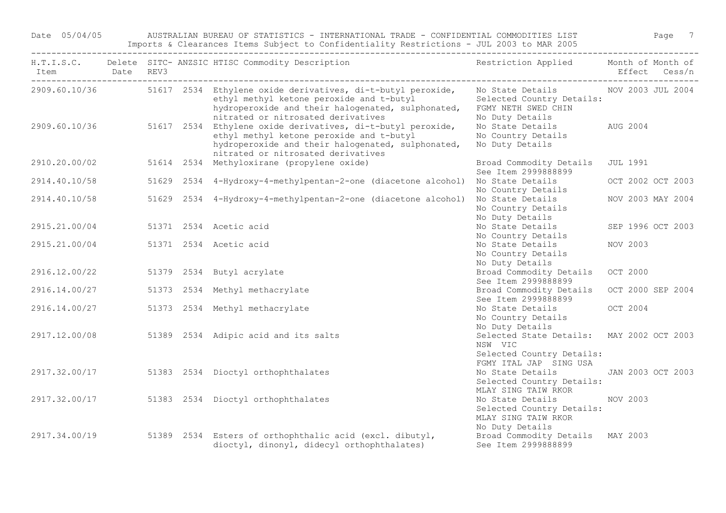Date 05/04/05 AUSTRALIAN BUREAU OF STATISTICS - INTERNATIONAL TRADE - CONFIDENTIAL COMMODITIES LIST Page 7 Imports & Clearances Items Subject to Confidentiality Restrictions - JUL 2003 to MAR 2005

| Item          | <b>Date</b> | REV3 | H.T.I.S.C. Delete SITC- ANZSIC HTISC Commodity Description                                                                                                                                         | Restriction Applied Month of Month of                                                                       |                 | Effect Cess/n     |
|---------------|-------------|------|----------------------------------------------------------------------------------------------------------------------------------------------------------------------------------------------------|-------------------------------------------------------------------------------------------------------------|-----------------|-------------------|
| 2909.60.10/36 |             |      | 51617 2534 Ethylene oxide derivatives, di-t-butyl peroxide,<br>ethyl methyl ketone peroxide and t-butyl<br>hydroperoxide and their halogenated, sulphonated,<br>nitrated or nitrosated derivatives | No State Details MOV 2003 JUL 2004<br>Selected Country Details:<br>FGMY NETH SWED CHIN<br>No Duty Details   |                 |                   |
| 2909.60.10/36 |             |      | 51617 2534 Ethylene oxide derivatives, di-t-butyl peroxide,<br>ethyl methyl ketone peroxide and t-butyl<br>hydroperoxide and their halogenated, sulphonated,<br>nitrated or nitrosated derivatives | No State Details<br>No Country Details<br>No Duty Details                                                   | AUG 2004        |                   |
| 2910.20.00/02 |             |      | 51614 2534 Methyloxirane (propylene oxide)                                                                                                                                                         | Broad Commodity Details<br>See Item 2999888899                                                              | <b>JUL 1991</b> |                   |
| 2914.40.10/58 |             |      | 51629 2534 4-Hydroxy-4-methylpentan-2-one (diacetone alcohol)                                                                                                                                      | No State Details<br>No Country Details                                                                      |                 | OCT 2002 OCT 2003 |
| 2914.40.10/58 |             |      | 51629 2534 4-Hydroxy-4-methylpentan-2-one (diacetone alcohol)                                                                                                                                      | No State Details<br>No Country Details<br>No Duty Details                                                   |                 | NOV 2003 MAY 2004 |
| 2915.21.00/04 |             |      | 51371 2534 Acetic acid                                                                                                                                                                             | No State Details<br>No Country Details                                                                      |                 | SEP 1996 OCT 2003 |
| 2915.21.00/04 |             |      | 51371 2534 Acetic acid                                                                                                                                                                             | No State Details<br>No Country Details<br>No Duty Details                                                   | NOV 2003        |                   |
| 2916.12.00/22 |             |      | 51379 2534 Butyl acrylate                                                                                                                                                                          | Broad Commodity Details<br>See Item 2999888899                                                              | OCT 2000        |                   |
| 2916.14.00/27 |             |      | 51373 2534 Methyl methacrylate                                                                                                                                                                     | Broad Commodity Details<br>See Item 2999888899                                                              |                 | OCT 2000 SEP 2004 |
| 2916.14.00/27 |             |      | 51373 2534 Methyl methacrylate                                                                                                                                                                     | No State Details<br>No Country Details<br>No Duty Details                                                   | OCT 2004        |                   |
| 2917.12.00/08 |             |      | 51389 2534 Adipic acid and its salts                                                                                                                                                               | Selected State Details: MAY 2002 OCT 2003<br>NSW VIC<br>Selected Country Details:<br>FGMY ITAL JAP SING USA |                 |                   |
| 2917.32.00/17 |             |      | 51383 2534 Dioctyl orthophthalates                                                                                                                                                                 | No State Details<br>Selected Country Details:<br>MLAY SING TAIW RKOR                                        |                 | JAN 2003 OCT 2003 |
| 2917.32.00/17 |             |      | 51383 2534 Dioctyl orthophthalates                                                                                                                                                                 | No State Details<br>Selected Country Details:<br>MLAY SING TAIW RKOR<br>No Duty Details                     | NOV 2003        |                   |
| 2917.34.00/19 |             |      | 51389 2534 Esters of orthophthalic acid (excl. dibutyl,<br>dioctyl, dinonyl, didecyl orthophthalates)                                                                                              | Broad Commodity Details MAY 2003<br>See Item 2999888899                                                     |                 |                   |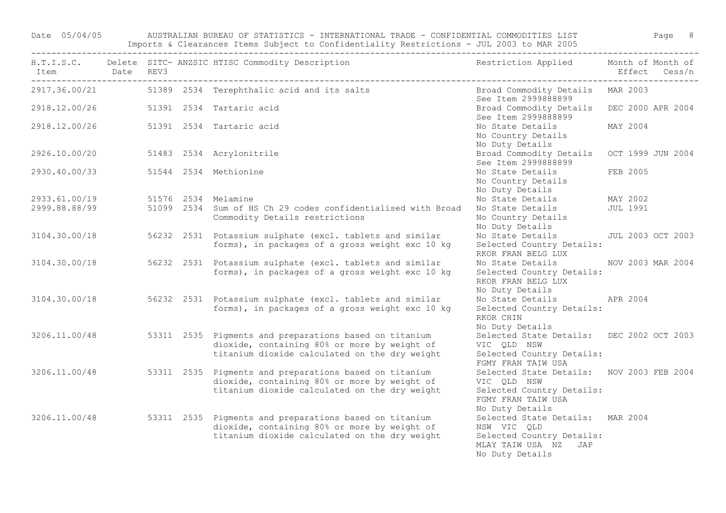Date 05/04/05 AUSTRALIAN BUREAU OF STATISTICS - INTERNATIONAL TRADE - CONFIDENTIAL COMMODITIES LIST Page 8 Imports & Clearances Items Subject to Confidentiality Restrictions - JUL 2003 to MAR 2005

| Item Date REV3<br>-------- |  | H.T.I.S.C. Delete SITC- ANZSIC HTISC Commodity Description                                                                                                            | Restriction Applied Month of Month of                                                                                          | Effect Cess/n     |  |
|----------------------------|--|-----------------------------------------------------------------------------------------------------------------------------------------------------------------------|--------------------------------------------------------------------------------------------------------------------------------|-------------------|--|
|                            |  | 2917.36.00/21 51389 2534 Terephthalic acid and its salts                                                                                                              | Broad Commodity Details MAR 2003<br>See Item 2999888899                                                                        |                   |  |
| 2918.12.00/26              |  | 51391 2534 Tartaric acid                                                                                                                                              | Broad Commodity Details DEC 2000 APR 2004<br>See Item 2999888899                                                               |                   |  |
| 2918.12.00/26              |  | 51391 2534 Tartaric acid                                                                                                                                              | No State Details<br>No Country Details<br>No Duty Details                                                                      | MAY 2004          |  |
| 2926.10.00/20              |  | 51483 2534 Acrylonitrile                                                                                                                                              | Broad Commodity Details<br>See Item 2999888899                                                                                 | OCT 1999 JUN 2004 |  |
| 2930.40.00/33              |  | 51544 2534 Methionine                                                                                                                                                 | No State Details<br>No Country Details<br>No Duty Details                                                                      | FEB 2005          |  |
| 2933.61.00/19              |  | 51576 2534 Melamine                                                                                                                                                   | No State Details                                                                                                               | MAY 2002          |  |
| 2999.88.88/99              |  | 51099 2534 Sum of HS Ch 29 codes confidentialised with Broad<br>Commodity Details restrictions                                                                        | No State Details<br>No Country Details<br>No Duty Details                                                                      | <b>JUL 1991</b>   |  |
| 3104.30.00/18              |  | 56232 2531 Potassium sulphate (excl. tablets and similar<br>forms), in packages of a gross weight exc 10 kg                                                           | No State Details JUL 2003 OCT 2003<br>Selected Country Details:<br>RKOR FRAN BELG LUX                                          |                   |  |
| 3104.30.00/18              |  | 56232 2531 Potassium sulphate (excl. tablets and similar<br>forms), in packages of a gross weight exc 10 kg                                                           | No State Details NOV 2003 MAR 2004<br>Selected Country Details:<br>RKOR FRAN BELG LUX<br>No Duty Details                       |                   |  |
| 3104.30.00/18              |  | 56232 2531 Potassium sulphate (excl. tablets and similar<br>forms), in packages of a gross weight exc 10 kg                                                           | No State Details APR 2004<br>Selected Country Details:<br>RKOR CHIN<br>No Duty Details                                         |                   |  |
| 3206.11.00/48              |  | 53311 2535 Pigments and preparations based on titanium<br>dioxide, containing 80% or more by weight of<br>titanium dioxide calculated on the dry weight               | Selected State Details: DEC 2002 OCT 2003<br>VIC QLD NSW<br>Selected Country Details:<br>FGMY FRAN TAIW USA                    |                   |  |
| 3206.11.00/48              |  | 53311 2535 Pigments and preparations based on titanium<br>dioxide, containing 80% or more by weight of<br>titanium dioxide calculated on the dry weight               | Selected State Details: NOV 2003 FEB 2004<br>VIC QLD NSW<br>Selected Country Details:<br>FGMY FRAN TAIW USA<br>No Duty Details |                   |  |
|                            |  | 3206.11.00/48 53311 2535 Pigments and preparations based on titanium<br>dioxide, containing 80% or more by weight of<br>titanium dioxide calculated on the dry weight | Selected State Details: MAR 2004<br>NSW VIC QLD<br>Selected Country Details:<br>MLAY TAIW USA NZ JAP<br>No Duty Details        |                   |  |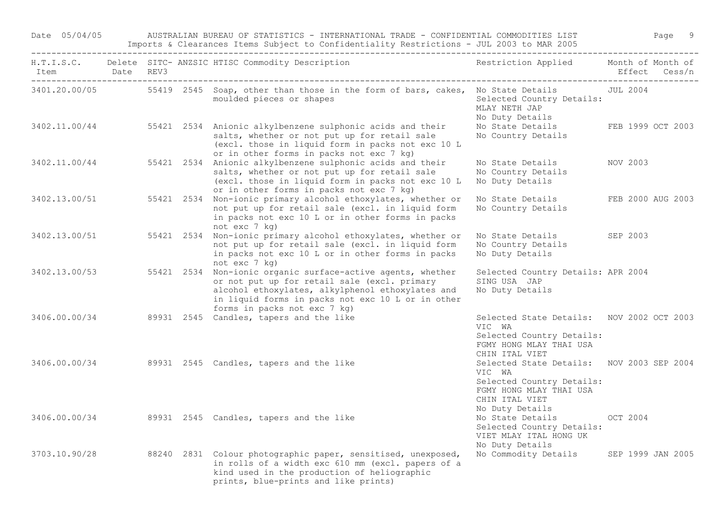Date 05/04/05 AUSTRALIAN BUREAU OF STATISTICS - INTERNATIONAL TRADE - CONFIDENTIAL COMMODITIES LIST Page 9 Imports & Clearances Items Subject to Confidentiality Restrictions - JUL 2003 to MAR 2005

| Item Date REV3 |  | H.T.I.S.C. Delete SITC- ANZSIC HTISC Commodity Description                                                                                                                                                                                                         | Restriction Applied Month of Month of                                                                                                            |          | Effect Cess/n     |
|----------------|--|--------------------------------------------------------------------------------------------------------------------------------------------------------------------------------------------------------------------------------------------------------------------|--------------------------------------------------------------------------------------------------------------------------------------------------|----------|-------------------|
|                |  | 3401.20.00/05 55419 2545 Soap, other than those in the form of bars, cakes, No State Details JUL 2004<br>moulded pieces or shapes                                                                                                                                  | Selected Country Details:<br>MLAY NETH JAP<br>No Duty Details                                                                                    |          |                   |
|                |  | 3402.11.00/44 55421 2534 Anionic alkylbenzene sulphonic acids and their<br>salts, whether or not put up for retail sale<br>(excl. those in liquid form in packs not exc 10 L<br>or in other forms in packs not exc 7 kg)                                           | No State Details FEB 1999 OCT 2003<br>No Country Details                                                                                         |          |                   |
|                |  | 3402.11.00/44 55421 2534 Anionic alkylbenzene sulphonic acids and their<br>salts, whether or not put up for retail sale<br>(excl. those in liquid form in packs not exc 10 L<br>or in other forms in packs not exc 7 kg)                                           | No State Details<br>No Country Details<br>No Duty Details                                                                                        | NOV 2003 |                   |
| 3402.13.00/51  |  | 55421 2534 Non-ionic primary alcohol ethoxylates, whether or<br>not put up for retail sale (excl. in liquid form<br>in packs not exc 10 L or in other forms in packs<br>not exc 7 kg)                                                                              | No State Details<br>No Country Details                                                                                                           |          | FEB 2000 AUG 2003 |
| 3402.13.00/51  |  | 55421 2534 Non-ionic primary alcohol ethoxylates, whether or<br>not put up for retail sale (excl. in liquid form<br>in packs not exc 10 L or in other forms in packs<br>not exc 7 kg)                                                                              | No State Details SEP 2003<br>No Country Details<br>No Duty Details                                                                               |          |                   |
|                |  | 3402.13.00/53 55421 2534 Non-ionic organic surface-active agents, whether<br>or not put up for retail sale (excl. primary<br>alcohol ethoxylates, alkylphenol ethoxylates and<br>in liquid forms in packs not exc 10 L or in other<br>forms in packs not exc 7 kg) | Selected Country Details: APR 2004<br>SING USA JAP<br>No Duty Details                                                                            |          |                   |
| 3406.00.00/34  |  | 89931 2545 Candles, tapers and the like                                                                                                                                                                                                                            | Selected State Details: NOV 2002 OCT 2003<br>VIC WA<br>Selected Country Details:<br>FGMY HONG MLAY THAI USA<br>CHIN ITAL VIET                    |          |                   |
|                |  | 3406.00.00/34 89931 2545 Candles, tapers and the like                                                                                                                                                                                                              | Selected State Details: NOV 2003 SEP 2004<br>VIC WA<br>Selected Country Details:<br>FGMY HONG MLAY THAI USA<br>CHIN ITAL VIET<br>No Duty Details |          |                   |
| 3406.00.00/34  |  | 89931 2545 Candles, tapers and the like                                                                                                                                                                                                                            | No State Details OCT 2004<br>Selected Country Details:<br>VIET MLAY ITAL HONG UK<br>No Duty Details                                              |          |                   |
| 3703.10.90/28  |  | 88240 2831 Colour photographic paper, sensitised, unexposed,<br>in rolls of a width exc 610 mm (excl. papers of a<br>kind used in the production of heliographic<br>prints, blue-prints and like prints)                                                           | No Commodity Details SEP 1999 JAN 2005                                                                                                           |          |                   |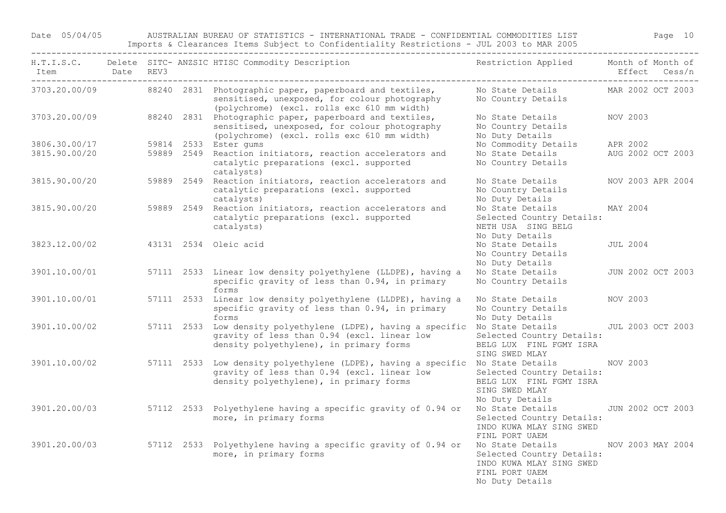Date 05/04/05 AUSTRALIAN BUREAU OF STATISTICS - INTERNATIONAL TRADE - CONFIDENTIAL COMMODITIES LIST Page 10 Imports & Clearances Items Subject to Confidentiality Restrictions - JUL 2003 to MAR 2005

| Item Date REV3<br>-------------------------------------- |  | ---------------------------<br>H.T.I.S.C. Delete SITC- ANZSIC HTISC Commodity Description                                                                                | Restriction Applied Month of Month of                                                                                            | Effect Cess/n     |
|----------------------------------------------------------|--|--------------------------------------------------------------------------------------------------------------------------------------------------------------------------|----------------------------------------------------------------------------------------------------------------------------------|-------------------|
|                                                          |  | 3703.20.00/09 88240 2831 Photographic paper, paperboard and textiles,<br>sensitised, unexposed, for colour photography<br>(polychrome) (excl. rolls exc 610 mm width)    | No State Details MAR 2002 OCT 2003<br>No Country Details                                                                         |                   |
|                                                          |  | 3703.20.00/09 88240 2831 Photographic paper, paperboard and textiles,<br>sensitised, unexposed, for colour photography<br>(polychrome) (excl. rolls exc 610 mm width)    | No State Details NOV 2003<br>No Country Details<br>No Duty Details                                                               |                   |
| 3806.30.00/17<br>3815.90.00/20                           |  | 59814 2533 Ester gums<br>59889 2549 Reaction initiators, reaction accelerators and<br>catalytic preparations (excl. supported<br>catalysts)                              | No Commodity Details APR 2002<br>No State Details MUG 2002 OCT 2003<br>No Country Details                                        |                   |
| 3815.90.00/20                                            |  | 59889 2549 Reaction initiators, reaction accelerators and<br>catalytic preparations (excl. supported<br>catalysts)                                                       | No State Details<br>No Country Details<br>No Duty Details                                                                        | NOV 2003 APR 2004 |
|                                                          |  | 3815.90.00/20 59889 2549 Reaction initiators, reaction accelerators and<br>catalytic preparations (excl. supported<br>catalysts)                                         | No State Details MAY 2004<br>Selected Country Details:<br>NETH USA SING BELG<br>No Duty Details                                  |                   |
| 3823.12.00/02                                            |  | 43131 2534 Oleic acid                                                                                                                                                    | No State Details<br>No Country Details<br>No Duty Details                                                                        | JUL 2004          |
| 3901.10.00/01                                            |  | 57111 2533 Linear low density polyethylene (LLDPE), having a<br>specific gravity of less than 0.94, in primary<br>forms                                                  | No State Details JUN 2002 OCT 2003<br>No Country Details                                                                         |                   |
| 3901.10.00/01                                            |  | 57111 2533 Linear low density polyethylene (LLDPE), having a<br>specific gravity of less than 0.94, in primary<br>forms                                                  | No State Details<br>No Country Details<br>No Duty Details                                                                        | NOV 2003          |
| 3901.10.00/02                                            |  | 57111 2533 Low density polyethylene (LDPE), having a specific No State Details<br>gravity of less than 0.94 (excl. linear low<br>density polyethylene), in primary forms | Selected Country Details:<br>BELG LUX FINL FGMY ISRA<br>SING SWED MLAY                                                           | JUL 2003 OCT 2003 |
| 3901.10.00/02                                            |  | 57111 2533 Low density polyethylene (LDPE), having a specific No State Details<br>gravity of less than 0.94 (excl. linear low<br>density polyethylene), in primary forms | Selected Country Details:<br>BELG LUX FINL FGMY ISRA<br>SING SWED MLAY<br>No Duty Details                                        | NOV 2003          |
| 3901.20.00/03                                            |  | 57112 2533 Polyethylene having a specific gravity of 0.94 or<br>more, in primary forms                                                                                   | No State Details<br>Selected Country Details:<br>INDO KUWA MLAY SING SWED<br>FINL PORT UAEM                                      | JUN 2002 OCT 2003 |
|                                                          |  | 3901.20.00/03 57112 2533 Polyethylene having a specific gravity of 0.94 or<br>more, in primary forms                                                                     | No State Details MOV 2003 MAY 2004<br>Selected Country Details:<br>INDO KUWA MLAY SING SWED<br>FINL PORT UAEM<br>No Duty Details |                   |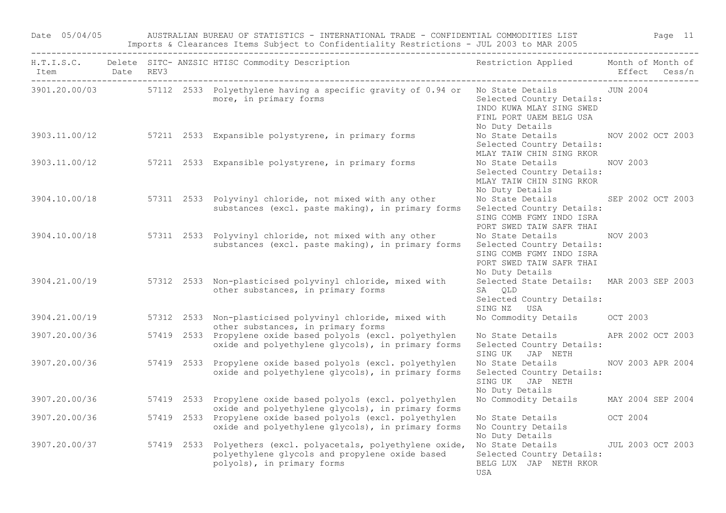Date 05/04/05 AUSTRALIAN BUREAU OF STATISTICS - INTERNATIONAL TRADE - CONFIDENTIAL COMMODITIES LIST Page 11 Imports & Clearances Items Subject to Confidentiality Restrictions - JUL 2003 to MAR 2005

| Item Date REV3 |  | H.T.I.S.C. Delete SITC- ANZSIC HTISC Commodity Description The Sestriction Applied Month of Month of                                          |                                                                                                                          | Effect Cess/n     |  |
|----------------|--|-----------------------------------------------------------------------------------------------------------------------------------------------|--------------------------------------------------------------------------------------------------------------------------|-------------------|--|
|                |  | 3901.20.00/03 57112 2533 Polyethylene having a specific gravity of 0.94 or No State Details JUN 2004<br>more, in primary forms                | Selected Country Details:<br>INDO KUWA MLAY SING SWED<br>FINL PORT UAEM BELG USA<br>No Duty Details                      |                   |  |
|                |  | 3903.11.00/12 57211 2533 Expansible polystyrene, in primary forms                                                                             | No State Details MOV 2002 OCT 2003<br>Selected Country Details:<br>MLAY TAIW CHIN SING RKOR                              |                   |  |
| 3903.11.00/12  |  | 57211 2533 Expansible polystyrene, in primary forms                                                                                           | No State Details<br>Selected Country Details:<br>MLAY TAIW CHIN SING RKOR<br>No Duty Details                             | NOV 2003          |  |
|                |  | 3904.10.00/18 57311 2533 Polyvinyl chloride, not mixed with any other<br>substances (excl. paste making), in primary forms                    | No State Details<br>Selected Country Details:<br>SING COMB FGMY INDO ISRA<br>PORT SWED TAIW SAFR THAI                    | SEP 2002 OCT 2003 |  |
|                |  | 3904.10.00/18 57311 2533 Polyvinyl chloride, not mixed with any other<br>substances (excl. paste making), in primary forms                    | No State Details<br>Selected Country Details:<br>SING COMB FGMY INDO ISRA<br>PORT SWED TAIW SAFR THAI<br>No Duty Details | NOV 2003          |  |
|                |  | 3904.21.00/19 57312 2533 Non-plasticised polyvinyl chloride, mixed with<br>other substances, in primary forms                                 | Selected State Details: MAR 2003 SEP 2003<br>SA QLD<br>Selected Country Details:<br>SING NZ USA                          |                   |  |
| 3904.21.00/19  |  | 57312 2533 Non-plasticised polyvinyl chloride, mixed with<br>other substances, in primary forms                                               | No Commodity Details OCT 2003                                                                                            |                   |  |
| 3907.20.00/36  |  | 57419 2533 Propylene oxide based polyols (excl. polyethylen<br>oxide and polyethylene glycols), in primary forms                              | No State Details APR 2002 OCT 2003<br>Selected Country Details:<br>SING UK JAP NETH                                      |                   |  |
|                |  | 3907.20.00/36 57419 2533 Propylene oxide based polyols (excl. polyethylen<br>oxide and polyethylene glycols), in primary forms                | No State Details<br>Selected Country Details:<br>SING UK JAP NETH<br>No Duty Details                                     | NOV 2003 APR 2004 |  |
| 3907.20.00/36  |  | 57419 2533 Propylene oxide based polyols (excl. polyethylen<br>oxide and polyethylene glycols), in primary forms                              | No Commodity Details MAY 2004 SEP 2004                                                                                   |                   |  |
| 3907.20.00/36  |  | 57419 2533 Propylene oxide based polyols (excl. polyethylen<br>oxide and polyethylene glycols), in primary forms                              | No State Details<br>No Country Details<br>No Duty Details                                                                | OCT 2004          |  |
| 3907.20.00/37  |  | 57419 2533 Polyethers (excl. polyacetals, polyethylene oxide,<br>polyethylene glycols and propylene oxide based<br>polyols), in primary forms | No State Details<br>Selected Country Details:<br>BELG LUX JAP NETH RKOR<br>USA                                           | JUL 2003 OCT 2003 |  |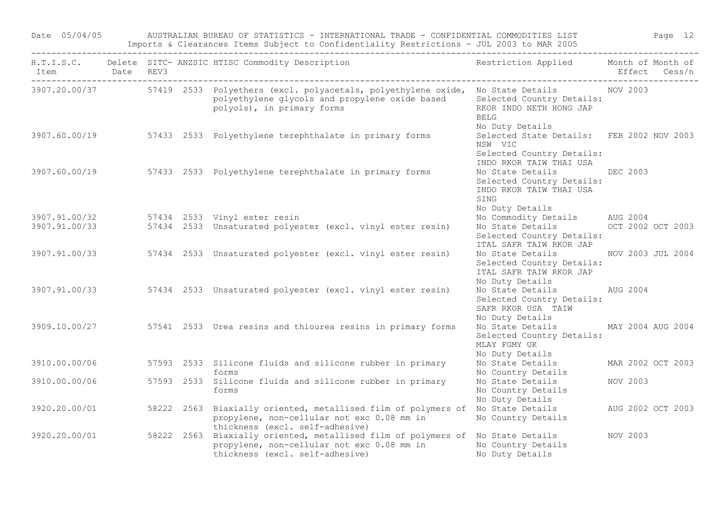Date 05/04/05 AUSTRALIAN BUREAU OF STATISTICS - INTERNATIONAL TRADE - CONFIDENTIAL COMMODITIES LIST Page 12 Imports & Clearances Items Subject to Confidentiality Restrictions - JUL 2003 to MAR 2005

| Item<br>_______ | Date REV3 |            | H.T.I.S.C. Delete SITC- ANZSIC HTISC Commodity Description                                                                                                     | Restriction Applied Month of Month of                                                                       |                   | Effect Cess/n |
|-----------------|-----------|------------|----------------------------------------------------------------------------------------------------------------------------------------------------------------|-------------------------------------------------------------------------------------------------------------|-------------------|---------------|
| 3907.20.00/37   |           |            | 57419 2533 Polyethers (excl. polyacetals, polyethylene oxide, No State Details<br>polyethylene glycols and propylene oxide based<br>polyols), in primary forms | Selected Country Details:<br>RKOR INDO NETH HONG JAP<br><b>BELG</b>                                         | NOV 2003          |               |
| 3907.60.00/19   |           |            | 57433 2533 Polyethylene terephthalate in primary forms                                                                                                         | No Duty Details<br>Selected State Details: FEB 2002 NOV 2003<br>NSW VIC<br>Selected Country Details:        |                   |               |
| 3907.60.00/19   |           |            | 57433 2533 Polyethylene terephthalate in primary forms                                                                                                         | INDO RKOR TAIW THAI USA<br>No State Details<br>Selected Country Details:<br>INDO RKOR TAIW THAI USA<br>SING | <b>DEC 2003</b>   |               |
| 3907.91.00/32   |           |            | 57434 2533 Vinyl ester resin                                                                                                                                   | No Duty Details<br>No Commodity Details AUG 2004                                                            |                   |               |
| 3907.91.00/33   |           |            | 57434 2533 Unsaturated polyester (excl. vinyl ester resin)                                                                                                     | No State Details OCT 2002 OCT 2003                                                                          |                   |               |
|                 |           |            |                                                                                                                                                                | Selected Country Details:<br>ITAL SAFR TAIW RKOR JAP                                                        |                   |               |
| 3907.91.00/33   |           |            | 57434 2533 Unsaturated polyester (excl. vinyl ester resin)                                                                                                     | No State Details<br>Selected Country Details:<br>ITAL SAFR TAIW RKOR JAP<br>No Duty Details                 | NOV 2003 JUL 2004 |               |
| 3907.91.00/33   |           |            | 57434 2533 Unsaturated polyester (excl. vinyl ester resin)                                                                                                     | No State Details AUG 2004<br>Selected Country Details:<br>SAFR RKOR USA TAIW                                |                   |               |
| 3909.10.00/27   |           |            | 57541 2533 Urea resins and thiourea resins in primary forms                                                                                                    | No Duty Details<br>No State Details MAY 2004 AUG 2004<br>Selected Country Details:<br>MLAY FGMY UK          |                   |               |
| 3910.00.00/06   |           |            | 57593 2533 Silicone fluids and silicone rubber in primary<br>forms                                                                                             | No Duty Details<br>No State Details<br>No Country Details                                                   | MAR 2002 OCT 2003 |               |
| 3910.00.00/06   |           |            | 57593 2533 Silicone fluids and silicone rubber in primary<br>forms                                                                                             | No State Details<br>No Country Details<br>No Duty Details                                                   | NOV 2003          |               |
| 3920.20.00/01   |           | 58222 2563 | Biaxially oriented, metallised film of polymers of No State Details<br>propylene, non-cellular not exc 0.08 mm in<br>thickness (excl. self-adhesive)           | No Country Details                                                                                          | AUG 2002 OCT 2003 |               |
| 3920.20.00/01   |           | 58222 2563 | Biaxially oriented, metallised film of polymers of No State Details<br>propylene, non-cellular not exc 0.08 mm in<br>thickness (excl. self-adhesive)           | No Country Details<br>No Duty Details                                                                       | NOV 2003          |               |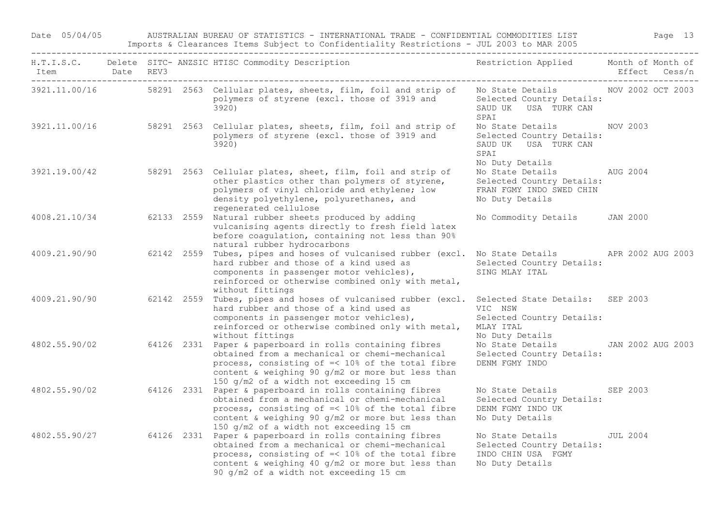Date 05/04/05 AUSTRALIAN BUREAU OF STATISTICS - INTERNATIONAL TRADE - CONFIDENTIAL COMMODITIES LIST Page 13 Imports & Clearances Items Subject to Confidentiality Restrictions - JUL 2003 to MAR 2005

| Item Date REV3 |                          |  | H.T.I.S.C. Delete SITC- ANZSIC HTISC Commodity Description                                                                                                                                                                                                       | Restriction Applied Month of Month of                                                                     | Effect Cess/n     |
|----------------|--------------------------|--|------------------------------------------------------------------------------------------------------------------------------------------------------------------------------------------------------------------------------------------------------------------|-----------------------------------------------------------------------------------------------------------|-------------------|
|                | ------------------------ |  | 3921.11.00/16 58291 2563 Cellular plates, sheets, film, foil and strip of<br>polymers of styrene (excl. those of 3919 and<br>3920)                                                                                                                               | No State Details NOV 2002 OCT 2003<br>Selected Country Details:<br>SAUD UK USA TURK CAN<br>SPAI           |                   |
| 3921.11.00/16  |                          |  | 58291 2563 Cellular plates, sheets, film, foil and strip of<br>polymers of styrene (excl. those of 3919 and<br>3920)                                                                                                                                             | No State Details NOV 2003<br>Selected Country Details:<br>SAUD UK USA TURK CAN<br>SPAI<br>No Duty Details |                   |
| 3921.19.00/42  |                          |  | 58291 2563 Cellular plates, sheet, film, foil and strip of<br>other plastics other than polymers of styrene,<br>polymers of vinyl chloride and ethylene; low<br>density polyethylene, polyurethanes, and<br>regenerated cellulose                                | No State Details AUG 2004<br>Selected Country Details:<br>FRAN FGMY INDO SWED CHIN<br>No Duty Details     |                   |
| 4008.21.10/34  |                          |  | 62133 2559 Natural rubber sheets produced by adding<br>vulcanising agents directly to fresh field latex<br>before coagulation, containing not less than 90%<br>natural rubber hydrocarbons                                                                       | No Commodity Details JAN 2000                                                                             |                   |
| 4009.21.90/90  |                          |  | 62142 2559 Tubes, pipes and hoses of vulcanised rubber (excl. No State Details APR 2002 AUG 2003<br>hard rubber and those of a kind used as<br>components in passenger motor vehicles),<br>reinforced or otherwise combined only with metal,<br>without fittings | Selected Country Details:<br>SING MLAY ITAL                                                               |                   |
| 4009.21.90/90  |                          |  | 62142 2559 Tubes, pipes and hoses of vulcanised rubber (excl.<br>hard rubber and those of a kind used as<br>components in passenger motor vehicles),<br>reinforced or otherwise combined only with metal,<br>without fittings                                    | Selected State Details: SEP 2003<br>VIC NSW<br>Selected Country Details:<br>MLAY ITAL<br>No Duty Details  |                   |
| 4802.55.90/02  |                          |  | 64126 2331 Paper & paperboard in rolls containing fibres<br>obtained from a mechanical or chemi-mechanical<br>process, consisting of =< 10% of the total fibre<br>content & weighing 90 g/m2 or more but less than<br>150 g/m2 of a width not exceeding 15 cm    | No State Details<br>Selected Country Details:<br>DENM FGMY INDO                                           | JAN 2002 AUG 2003 |
| 4802.55.90/02  |                          |  | 64126 2331 Paper & paperboard in rolls containing fibres<br>obtained from a mechanical or chemi-mechanical<br>process, consisting of =< 10% of the total fibre<br>content & weighing 90 g/m2 or more but less than<br>150 g/m2 of a width not exceeding 15 cm    | No State Details SEP 2003<br>Selected Country Details:<br>DENM FGMY INDO UK<br>No Duty Details            |                   |
| 4802.55.90/27  |                          |  | 64126 2331 Paper & paperboard in rolls containing fibres<br>obtained from a mechanical or chemi-mechanical<br>process, consisting of =< 10% of the total fibre<br>content & weighing 40 g/m2 or more but less than<br>90 g/m2 of a width not exceeding 15 cm     | No State Details JUL 2004<br>Selected Country Details:<br>INDO CHIN USA FGMY<br>No Duty Details           |                   |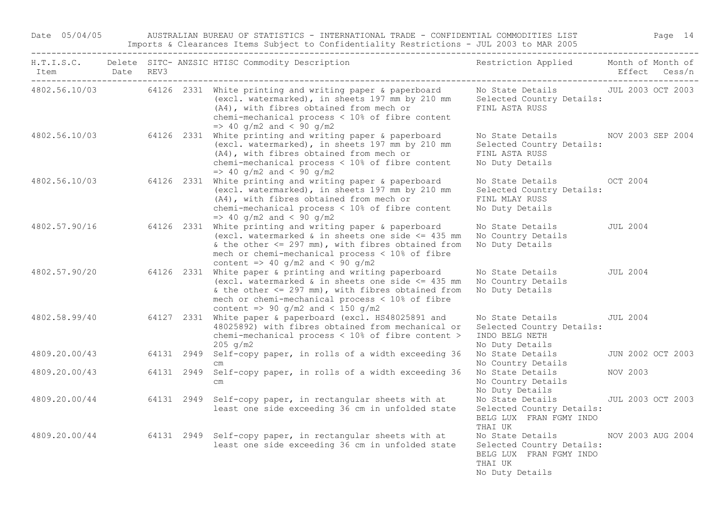Date 05/04/05 AUSTRALIAN BUREAU OF STATISTICS - INTERNATIONAL TRADE - CONFIDENTIAL COMMODITIES LIST Page 14 Imports & Clearances Items Subject to Confidentiality Restrictions - JUL 2003 to MAR 2005

| Item Date REV3<br>-------------------------------------- |  |            | H.T.I.S.C. Delete SITC- ANZSIC HTISC Commodity Description                                                                                                                                                                                                       | Restriction Applied Month of Month of                                                                  |                   | Effect Cess/n     |
|----------------------------------------------------------|--|------------|------------------------------------------------------------------------------------------------------------------------------------------------------------------------------------------------------------------------------------------------------------------|--------------------------------------------------------------------------------------------------------|-------------------|-------------------|
|                                                          |  |            | 4802.56.10/03 64126 2331 White printing and writing paper & paperboard<br>(excl. watermarked), in sheets 197 mm by 210 mm<br>(A4), with fibres obtained from mech or<br>chemi-mechanical process < 10% of fibre content<br>$\Rightarrow$ 40 g/m2 and < 90 g/m2   | No State Details<br>Selected Country Details:<br>FINL ASTA RUSS                                        | JUL 2003 OCT 2003 |                   |
| 4802.56.10/03                                            |  | 64126 2331 | White printing and writing paper & paperboard<br>(excl. watermarked), in sheets 197 mm by 210 mm<br>(A4), with fibres obtained from mech or<br>chemi-mechanical process < 10% of fibre content<br>$\Rightarrow$ 40 g/m2 and < 90 g/m2                            | No State Details NOV 2003 SEP 2004<br>Selected Country Details:<br>FINL ASTA RUSS<br>No Duty Details   |                   |                   |
| 4802.56.10/03                                            |  | 64126 2331 | White printing and writing paper & paperboard<br>(excl. watermarked), in sheets 197 mm by 210 mm<br>(A4), with fibres obtained from mech or<br>chemi-mechanical process < 10% of fibre content<br>$\Rightarrow$ 40 g/m2 and < 90 g/m2                            | No State Details 0CT 2004<br>Selected Country Details:<br>FINL MLAY RUSS<br>No Duty Details            |                   |                   |
| 4802.57.90/16                                            |  |            | 64126 2331 White printing and writing paper & paperboard<br>(excl. watermarked & in sheets one side $\leq$ 435 mm<br>& the other $<=$ 297 mm), with fibres obtained from<br>mech or chemi-mechanical process < 10% of fibre<br>content => 40 g/m2 and < 90 g/m2  | No State Details<br>No Country Details<br>No Duty Details                                              | JUL 2004          |                   |
| 4802.57.90/20                                            |  |            | 64126 2331 White paper & printing and writing paperboard<br>(excl. watermarked & in sheets one side $\leq$ 435 mm<br>& the other $<=$ 297 mm), with fibres obtained from<br>mech or chemi-mechanical process < 10% of fibre<br>content => 90 g/m2 and < 150 g/m2 | No State Details<br>No Country Details<br>No Duty Details                                              | <b>JUL 2004</b>   |                   |
| 4802.58.99/40                                            |  |            | 64127 2331 White paper & paperboard (excl. HS48025891 and<br>48025892) with fibres obtained from mechanical or<br>chemi-mechanical process < 10% of fibre content ><br>$205 \, g/m2$                                                                             | No State Details<br>Selected Country Details:<br>INDO BELG NETH<br>No Duty Details                     | JUL 2004          |                   |
| 4809.20.00/43                                            |  |            | 64131 2949 Self-copy paper, in rolls of a width exceeding 36<br>$\subset$ m                                                                                                                                                                                      | No State Details<br>No Country Details                                                                 |                   | JUN 2002 OCT 2003 |
| 4809.20.00/43                                            |  | 64131 2949 | Self-copy paper, in rolls of a width exceeding 36<br>$\,$ cm $\,$                                                                                                                                                                                                | No State Details<br>No Country Details<br>No Duty Details                                              | NOV 2003          |                   |
| 4809.20.00/44                                            |  |            | 64131 2949 Self-copy paper, in rectangular sheets with at<br>least one side exceeding 36 cm in unfolded state                                                                                                                                                    | No State Details<br>Selected Country Details:<br>BELG LUX FRAN FGMY INDO<br>THAI UK                    |                   | JUL 2003 OCT 2003 |
| 4809.20.00/44                                            |  |            | 64131 2949 Self-copy paper, in rectangular sheets with at<br>least one side exceeding 36 cm in unfolded state                                                                                                                                                    | No State Details<br>Selected Country Details:<br>BELG LUX FRAN FGMY INDO<br>THAI UK<br>No Duty Details | NOV 2003 AUG 2004 |                   |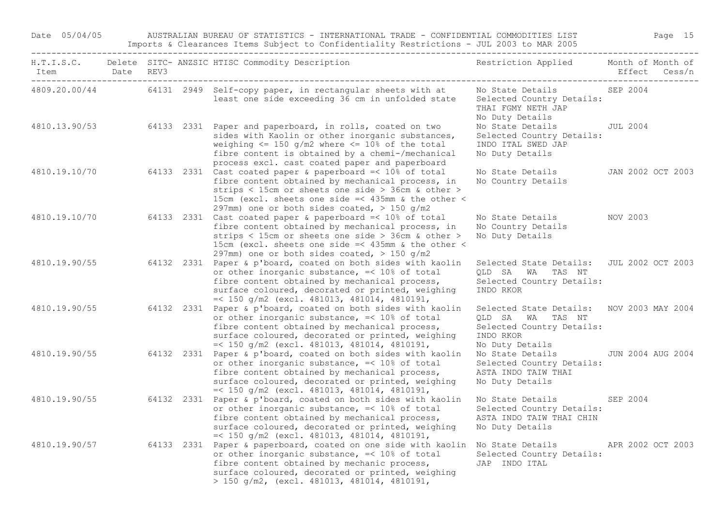Date 05/04/05 AUSTRALIAN BUREAU OF STATISTICS - INTERNATIONAL TRADE - CONFIDENTIAL COMMODITIES LIST Page 15 Imports & Clearances Items Subject to Confidentiality Restrictions - JUL 2003 to MAR 2005

| Item Date REV3 |  | H.T.I.S.C. Delete SITC- ANZSIC HTISC Commodity Description                                                                                                                                                                                                                                                        | Restriction Applied Month of Month of                                                                                      | Effect Cess/n |  |
|----------------|--|-------------------------------------------------------------------------------------------------------------------------------------------------------------------------------------------------------------------------------------------------------------------------------------------------------------------|----------------------------------------------------------------------------------------------------------------------------|---------------|--|
|                |  | 4809.20.00/44 64131 2949 Self-copy paper, in rectangular sheets with at<br>least one side exceeding 36 cm in unfolded state                                                                                                                                                                                       | No State Details<br>Selected Country Details:<br>THAI FGMY NETH JAP<br>No Duty Details                                     | SEP 2004      |  |
|                |  | 4810.13.90/53 64133 2331 Paper and paperboard, in rolls, coated on two<br>sides with Kaolin or other inorganic substances,<br>weighing $\le$ 150 g/m2 where $\le$ 10% of the total<br>fibre content is obtained by a chemi-/mechanical<br>process excl. cast coated paper and paperboard                          | No State Details JUL 2004<br>Selected Country Details:<br>INDO ITAL SWED JAP<br>No Duty Details                            |               |  |
| 4810.19.10/70  |  | 64133 2331 Cast coated paper & paperboard =< 10% of total<br>fibre content obtained by mechanical process, in<br>strips < 15cm or sheets one side > 36cm & other ><br>15cm (excl. sheets one side =< 435mm & the other <<br>297mm) one or both sides coated, $>$ 150 q/m2                                         | No State Details JAN 2002 OCT 2003<br>No Country Details                                                                   |               |  |
| 4810.19.10/70  |  | 64133 2331 Cast coated paper & paperboard =< 10% of total<br>fibre content obtained by mechanical process, in<br>strips < 15cm or sheets one side > 36cm & other ><br>15cm (excl. sheets one side =< 435mm & the other <<br>297mm) one or both sides coated, $> 150$ g/m2                                         | No State Details<br>No Country Details<br>No Duty Details                                                                  | NOV 2003      |  |
| 4810.19.90/55  |  | 64132 2331 Paper & p'board, coated on both sides with kaolin<br>or other inorganic substance, =< 10% of total<br>fibre content obtained by mechanical process,<br>surface coloured, decorated or printed, weighing<br>$=<$ 150 g/m2 (excl. 481013, 481014, 4810191,                                               | Selected State Details: JUL 2002 OCT 2003<br>QLD SA WA TAS NT<br>Selected Country Details:<br>INDO RKOR                    |               |  |
|                |  | 4810.19.90/55 64132 2331 Paper & p'board, coated on both sides with kaolin<br>or other inorganic substance, =< 10% of total<br>fibre content obtained by mechanical process,<br>surface coloured, decorated or printed, weighing<br>$=<$ 150 g/m2 (excl. 481013, 481014, 4810191,                                 | Selected State Details: NOV 2003 MAY 2004<br>QLD SA WA TAS NT<br>Selected Country Details:<br>INDO RKOR<br>No Duty Details |               |  |
|                |  | 4810.19.90/55 64132 2331 Paper & p'board, coated on both sides with kaolin<br>or other inorganic substance, =< 10% of total<br>fibre content obtained by mechanical process,<br>surface coloured, decorated or printed, weighing<br>$=<$ 150 g/m2 (excl. 481013, 481014, 4810191,                                 | No State Details 5000 JUN 2004 AUG 2004<br>Selected Country Details:<br>ASTA INDO TAIW THAI<br>No Duty Details             |               |  |
|                |  | 4810.19.90/55 64132 2331 Paper & p'board, coated on both sides with kaolin<br>or other inorganic substance, =< 10% of total<br>fibre content obtained by mechanical process,<br>surface coloured, decorated or printed, weighing<br>$=<$ 150 g/m2 (excl. 481013, 481014, 4810191,                                 | No State Details SEP 2004<br>Selected Country Details:<br>ASTA INDO TAIW THAI CHIN<br>No Duty Details                      |               |  |
|                |  | 4810.19.90/57 64133 2331 Paper & paperboard, coated on one side with kaolin No State Details APR 2002 OCT 2003<br>or other inorganic substance, =< 10% of total<br>fibre content obtained by mechanic process,<br>surface coloured, decorated or printed, weighing<br>> 150 g/m2, (excl. 481013, 481014, 4810191, | Selected Country Details:<br>JAP INDO ITAL                                                                                 |               |  |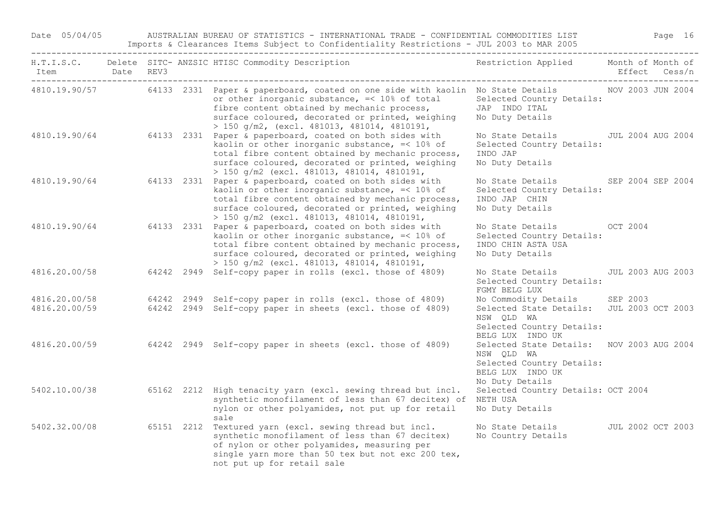Date 05/04/05 AUSTRALIAN BUREAU OF STATISTICS - INTERNATIONAL TRADE - CONFIDENTIAL COMMODITIES LIST Page 16 Imports & Clearances Items Subject to Confidentiality Restrictions - JUL 2003 to MAR 2005

| Item<br>-------                | Date | REV3 | H.T.I.S.C. Delete SITC- ANZSIC HTISC Commodity Description                                                                                                                                                                                                                                        | Restriction Applied Month of Month of                                                                                            |                   | Effect Cess/n            |
|--------------------------------|------|------|---------------------------------------------------------------------------------------------------------------------------------------------------------------------------------------------------------------------------------------------------------------------------------------------------|----------------------------------------------------------------------------------------------------------------------------------|-------------------|--------------------------|
|                                |      |      | 4810.19.90/57 64133 2331 Paper & paperboard, coated on one side with kaolin No State Details<br>or other inorganic substance, =< 10% of total<br>fibre content obtained by mechanic process,<br>surface coloured, decorated or printed, weighing<br>$> 150$ g/m2, (excl. 481013, 481014, 4810191, | Selected Country Details:<br>JAP INDO ITAL<br>No Duty Details                                                                    | NOV 2003 JUN 2004 |                          |
| 4810.19.90/64                  |      |      | 64133 2331 Paper & paperboard, coated on both sides with<br>kaolin or other inorganic substance, $\leq 10\$ of<br>total fibre content obtained by mechanic process,<br>surface coloured, decorated or printed, weighing<br>$> 150$ g/m2 (excl. 481013, 481014, 4810191,                           | No State Details 5001 2004 AUG 2004<br>Selected Country Details:<br>INDO JAP<br>No Duty Details                                  |                   |                          |
| 4810.19.90/64                  |      |      | 64133 2331 Paper & paperboard, coated on both sides with<br>kaolin or other inorganic substance, =< 10% of<br>total fibre content obtained by mechanic process,<br>surface coloured, decorated or printed, weighing<br>$> 150$ g/m2 (excl. 481013, 481014, 4810191,                               | No State Details<br>Selected Country Details:<br>INDO JAP CHIN<br>No Duty Details                                                | SEP 2004 SEP 2004 |                          |
| 4810.19.90/64                  |      |      | 64133 2331 Paper & paperboard, coated on both sides with<br>kaolin or other inorganic substance, =< 10% of<br>total fibre content obtained by mechanic process,<br>surface coloured, decorated or printed, weighing<br>$> 150$ g/m2 (excl. 481013, 481014, 4810191,                               | No State Details OCT 2004<br>Selected Country Details:<br>INDO CHIN ASTA USA<br>No Duty Details                                  |                   |                          |
| 4816.20.00/58                  |      |      | 64242 2949 Self-copy paper in rolls (excl. those of 4809)                                                                                                                                                                                                                                         | No State Details<br>Selected Country Details:<br>FGMY BELG LUX                                                                   |                   | <b>JUL 2003 AUG 2003</b> |
| 4816.20.00/58<br>4816.20.00/59 |      |      | 64242 2949 Self-copy paper in rolls (excl. those of 4809)<br>64242 2949 Self-copy paper in sheets (excl. those of 4809)                                                                                                                                                                           | No Commodity Details<br>Selected State Details: JUL 2003 OCT 2003<br>NSW QLD WA<br>Selected Country Details:<br>BELG LUX INDO UK | SEP 2003          |                          |
| 4816.20.00/59                  |      |      | 64242 2949 Self-copy paper in sheets (excl. those of 4809)                                                                                                                                                                                                                                        | Selected State Details: NOV 2003 AUG 2004<br>NSW OLD WA<br>Selected Country Details:<br>BELG LUX INDO UK<br>No Duty Details      |                   |                          |
| 5402.10.00/38                  |      |      | 65162 2212 High tenacity yarn (excl. sewing thread but incl.<br>synthetic monofilament of less than 67 decitex) of<br>nylon or other polyamides, not put up for retail<br>sale                                                                                                                    | Selected Country Details: OCT 2004<br>NETH USA<br>No Duty Details                                                                |                   |                          |
| 5402.32.00/08                  |      |      | 65151 2212 Textured yarn (excl. sewing thread but incl.<br>synthetic monofilament of less than 67 decitex)<br>of nylon or other polyamides, measuring per<br>single yarn more than 50 tex but not exc 200 tex,<br>not put up for retail sale                                                      | No State Details<br>No Country Details                                                                                           | JUL 2002 OCT 2003 |                          |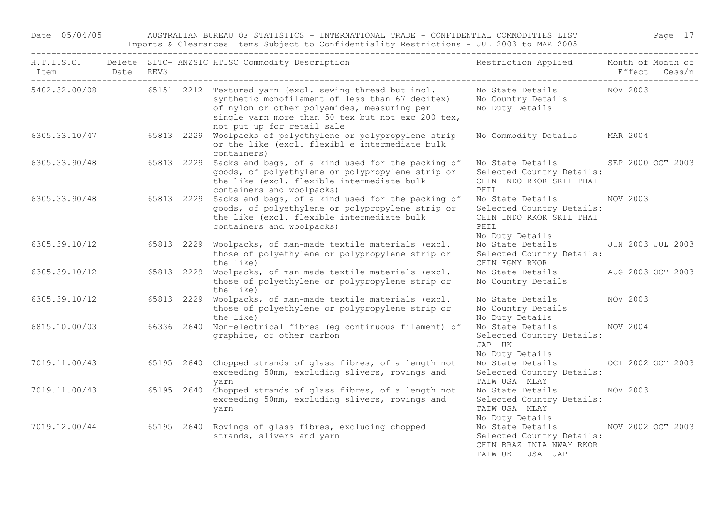## Date 05/04/05 AUSTRALIAN BUREAU OF STATISTICS - INTERNATIONAL TRADE - CONFIDENTIAL COMMODITIES LIST Page 17

Imports & Clearances Items Subject to Confidentiality Restrictions - JUL 2003 to MAR 2005

| Item Date REV3<br>----------------------------------- |            | H.T.I.S.C. Delete SITC- ANZSIC HTISC Commodity Description                                                                                                                                                                                                 | Restriction Applied Month of Month of                                                                |                   | Effect Cess/n |
|-------------------------------------------------------|------------|------------------------------------------------------------------------------------------------------------------------------------------------------------------------------------------------------------------------------------------------------------|------------------------------------------------------------------------------------------------------|-------------------|---------------|
|                                                       |            | 5402.32.00/08 65151 2212 Textured yarn (excl. sewing thread but incl.<br>synthetic monofilament of less than 67 decitex)<br>of nylon or other polyamides, measuring per<br>single yarn more than 50 tex but not exc 200 tex,<br>not put up for retail sale | No State Details MOV 2003<br>No Country Details<br>No Duty Details                                   |                   |               |
|                                                       |            | 6305.33.10/47 65813 2229 Woolpacks of polyethylene or polypropylene strip<br>or the like (excl. flexibl e intermediate bulk<br>containers)                                                                                                                 | No Commodity Details                                                                                 | MAR 2004          |               |
| 6305.33.90/48                                         |            | 65813 2229 Sacks and bags, of a kind used for the packing of<br>goods, of polyethylene or polypropylene strip or<br>the like (excl. flexible intermediate bulk<br>containers and woolpacks)                                                                | No State Details SEP 2000 OCT 2003<br>Selected Country Details:<br>CHIN INDO RKOR SRIL THAI<br>PHIL  |                   |               |
| 6305.33.90/48 65813 2229                              |            | Sacks and bags, of a kind used for the packing of<br>goods, of polyethylene or polypropylene strip or<br>the like (excl. flexible intermediate bulk<br>containers and woolpacks)                                                                           | No State Details<br>Selected Country Details:<br>CHIN INDO RKOR SRIL THAI<br>PHIL<br>No Duty Details | NOV 2003          |               |
| 6305.39.10/12                                         |            | 65813 2229 Woolpacks, of man-made textile materials (excl.<br>those of polyethylene or polypropylene strip or<br>the like)                                                                                                                                 | No State Details<br>Selected Country Details:<br>CHIN FGMY RKOR                                      | JUN 2003 JUL 2003 |               |
| 6305.39.10/12                                         | 65813 2229 | Woolpacks, of man-made textile materials (excl.<br>those of polyethylene or polypropylene strip or<br>the like)                                                                                                                                            | No State Details<br>No Country Details                                                               | AUG 2003 OCT 2003 |               |
| 6305.39.10/12                                         | 65813 2229 | Woolpacks, of man-made textile materials (excl.<br>those of polyethylene or polypropylene strip or<br>the like)                                                                                                                                            | No State Details<br>No Country Details<br>No Duty Details                                            | NOV 2003          |               |
| 6815.10.00/03                                         |            | 66336 2640 Non-electrical fibres (eq continuous filament) of<br>graphite, or other carbon                                                                                                                                                                  | No State Details<br>Selected Country Details:<br>JAP UK<br>No Duty Details                           | NOV 2004          |               |
| 7019.11.00/43                                         |            | 65195 2640 Chopped strands of glass fibres, of a length not<br>exceeding 50mm, excluding slivers, rovings and<br>yarn                                                                                                                                      | No State Details<br>Selected Country Details:<br>TAIW USA MLAY                                       | OCT 2002 OCT 2003 |               |
| 7019.11.00/43                                         | 65195 2640 | Chopped strands of glass fibres, of a length not<br>exceeding 50mm, excluding slivers, rovings and<br>yarn                                                                                                                                                 | No State Details<br>Selected Country Details:<br>TAIW USA MLAY<br>No Duty Details                    | NOV 2003          |               |
| 7019.12.00/44 65195 2640                              |            | Rovings of glass fibres, excluding chopped<br>strands, slivers and yarn                                                                                                                                                                                    | No State Details<br>Selected Country Details:<br>CHIN BRAZ INIA NWAY RKOR<br>TAIW UK USA JAP         | NOV 2002 OCT 2003 |               |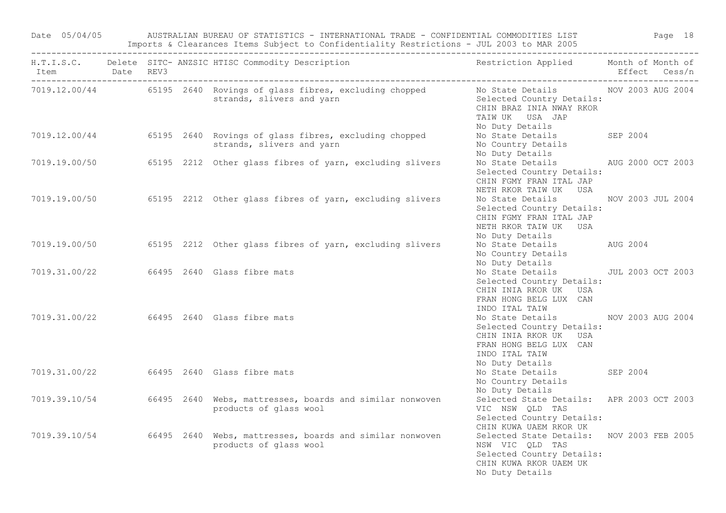Date 05/04/05 AUSTRALIAN BUREAU OF STATISTICS - INTERNATIONAL TRADE - CONFIDENTIAL COMMODITIES LIST Page 18 Imports & Clearances Items Subject to Confidentiality Restrictions - JUL 2003 to MAR 2005

| Item Date REV3 |  | H.T.I.S.C. Delete SITC- ANZSIC HTISC Commodity Description                                                                          | Restriction Applied Month of Month of                                                                                                                   | Effect Cess/n |  |
|----------------|--|-------------------------------------------------------------------------------------------------------------------------------------|---------------------------------------------------------------------------------------------------------------------------------------------------------|---------------|--|
|                |  | 7019.12.00/44 65195 2640 Rovings of glass fibres, excluding chopped No State Details NOV 2003 AUG 2004<br>strands, slivers and yarn | Selected Country Details:<br>CHIN BRAZ INIA NWAY RKOR<br>TAIW UK USA JAP<br>No Duty Details                                                             |               |  |
|                |  | 7019.12.00/44 65195 2640 Rovings of glass fibres, excluding chopped<br>strands, slivers and yarn                                    | No State Details SEP 2004<br>No Country Details<br>No Duty Details                                                                                      |               |  |
|                |  | 7019.19.00/50 65195 2212 Other glass fibres of yarn, excluding slivers                                                              | No State Details MUG 2000 OCT 2003<br>Selected Country Details:<br>CHIN FGMY FRAN ITAL JAP<br>NETH RKOR TAIW UK USA                                     |               |  |
|                |  | 7019.19.00/50 65195 2212 Other glass fibres of yarn, excluding slivers                                                              | No State Details MOV 2003 JUL 2004<br>Selected Country Details:<br>CHIN FGMY FRAN ITAL JAP<br>NETH RKOR TAIW UK USA<br>No Duty Details                  |               |  |
|                |  | 7019.19.00/50 65195 2212 Other glass fibres of yarn, excluding slivers                                                              | No State Details AUG 2004<br>No Country Details<br>No Duty Details                                                                                      |               |  |
|                |  | 7019.31.00/22 66495 2640 Glass fibre mats                                                                                           | No State Details 500 JUL 2003 OCT 2003<br>Selected Country Details:<br>CHIN INIA RKOR UK USA<br>FRAN HONG BELG LUX CAN<br>INDO ITAL TAIW                |               |  |
|                |  | 7019.31.00/22 66495 2640 Glass fibre mats                                                                                           | No State Details MOV 2003 AUG 2004<br>Selected Country Details:<br>CHIN INIA RKOR UK USA<br>FRAN HONG BELG LUX CAN<br>INDO ITAL TAIW<br>No Duty Details |               |  |
|                |  | 7019.31.00/22 66495 2640 Glass fibre mats                                                                                           | No State Details SEP 2004<br>No Country Details<br>No Duty Details                                                                                      |               |  |
|                |  | 7019.39.10/54 66495 2640 Webs, mattresses, boards and similar nonwoven<br>products of glass wool                                    | Selected State Details: APR 2003 OCT 2003<br>VIC NSW QLD TAS<br>Selected Country Details:<br>CHIN KUWA UAEM RKOR UK                                     |               |  |
|                |  | 7019.39.10/54 66495 2640 Webs, mattresses, boards and similar nonwoven<br>products of glass wool                                    | Selected State Details: NOV 2003 FEB 2005<br>NSW VIC QLD TAS<br>Selected Country Details:<br>CHIN KUWA RKOR UAEM UK<br>No Duty Details                  |               |  |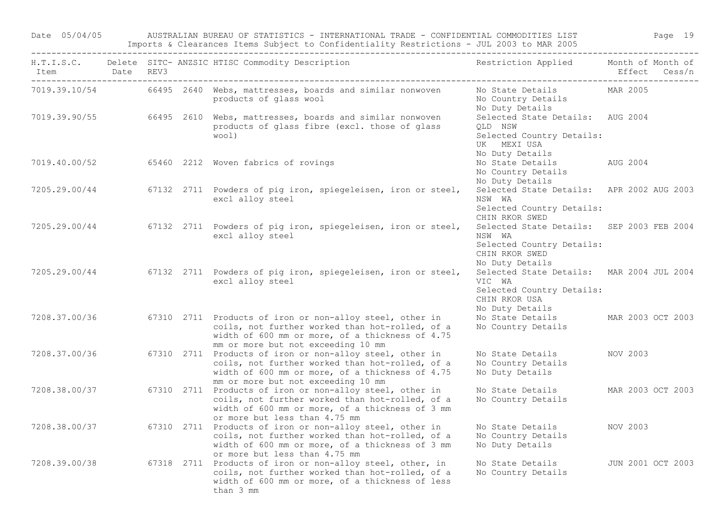Date 05/04/05 AUSTRALIAN BUREAU OF STATISTICS - INTERNATIONAL TRADE - CONFIDENTIAL COMMODITIES LIST Page 19 Imports & Clearances Items Subject to Confidentiality Restrictions - JUL 2003 to MAR 2005

| Item Date REV3 | ______________________________ |  | H.T.I.S.C. Delete SITC- ANZSIC HTISC Commodity Description                                                                                                                                           | Restriction Applied Month of Month of                                                                                 | Effect Cess/n     |
|----------------|--------------------------------|--|------------------------------------------------------------------------------------------------------------------------------------------------------------------------------------------------------|-----------------------------------------------------------------------------------------------------------------------|-------------------|
|                |                                |  | 7019.39.10/54 66495 2640 Webs, mattresses, boards and similar nonwoven<br>products of glass wool                                                                                                     | No State Details<br>No Country Details<br>No Duty Details                                                             | MAR 2005          |
|                |                                |  | 7019.39.90/55 66495 2610 Webs, mattresses, boards and similar nonwoven<br>products of glass fibre (excl. those of glass<br>wool)                                                                     | Selected State Details: AUG 2004<br>OLD NSW<br>Selected Country Details:<br>UK MEXI USA<br>No Duty Details            |                   |
|                |                                |  | 7019.40.00/52 65460 2212 Woven fabrics of rovings                                                                                                                                                    | No State Details<br>No Country Details<br>No Duty Details                                                             | AUG 2004          |
| 7205.29.00/44  |                                |  | 67132 2711 Powders of pig iron, spiegeleisen, iron or steel,<br>excl alloy steel                                                                                                                     | Selected State Details: APR 2002 AUG 2003<br>NSW WA<br>Selected Country Details:<br>CHIN RKOR SWED                    |                   |
| 7205.29.00/44  |                                |  | 67132 2711 Powders of pig iron, spiegeleisen, iron or steel,<br>excl alloy steel                                                                                                                     | Selected State Details: SEP 2003 FEB 2004<br>NSW WA<br>Selected Country Details:<br>CHIN RKOR SWED<br>No Duty Details |                   |
| 7205.29.00/44  |                                |  | 67132 2711 Powders of pig iron, spiegeleisen, iron or steel,<br>excl alloy steel                                                                                                                     | Selected State Details: MAR 2004 JUL 2004<br>VIC WA<br>Selected Country Details:<br>CHIN RKOR USA<br>No Duty Details  |                   |
| 7208.37.00/36  |                                |  | 67310 2711 Products of iron or non-alloy steel, other in<br>coils, not further worked than hot-rolled, of a<br>width of 600 mm or more, of a thickness of 4.75<br>mm or more but not exceeding 10 mm | No State Details<br>No Country Details                                                                                | MAR 2003 OCT 2003 |
| 7208.37.00/36  |                                |  | 67310 2711 Products of iron or non-alloy steel, other in<br>coils, not further worked than hot-rolled, of a<br>width of 600 mm or more, of a thickness of 4.75<br>mm or more but not exceeding 10 mm | No State Details<br>No Country Details<br>No Duty Details                                                             | NOV 2003          |
| 7208.38.00/37  |                                |  | 67310 2711 Products of iron or non-alloy steel, other in<br>coils, not further worked than hot-rolled, of a<br>width of 600 mm or more, of a thickness of 3 mm<br>or more but less than 4.75 mm      | No State Details<br>No Country Details                                                                                | MAR 2003 OCT 2003 |
| 7208.38.00/37  |                                |  | 67310 2711 Products of iron or non-alloy steel, other in<br>coils, not further worked than hot-rolled, of a<br>width of 600 mm or more, of a thickness of 3 mm<br>or more but less than 4.75 mm      | No State Details<br>No Country Details<br>No Duty Details                                                             | NOV 2003          |
| 7208.39.00/38  |                                |  | 67318 2711 Products of iron or non-alloy steel, other, in<br>coils, not further worked than hot-rolled, of a<br>width of 600 mm or more, of a thickness of less<br>than 3 mm                         | No State Details<br>No Country Details                                                                                | JUN 2001 OCT 2003 |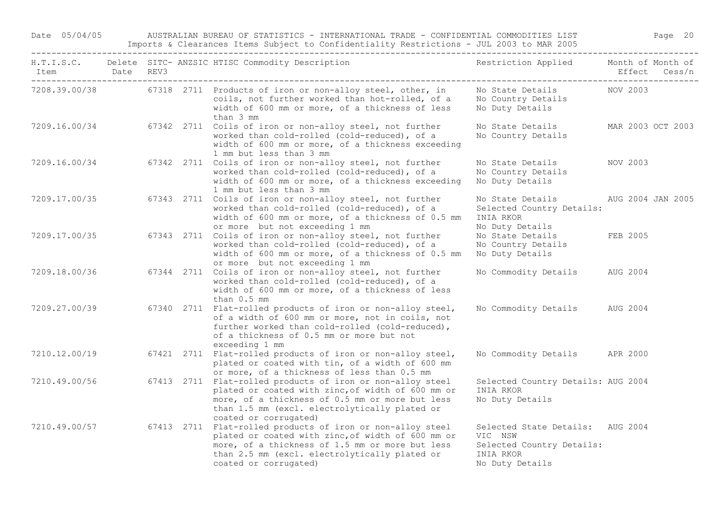Date 05/04/05 AUSTRALIAN BUREAU OF STATISTICS - INTERNATIONAL TRADE - CONFIDENTIAL COMMODITIES LIST Page 20 Imports & Clearances Items Subject to Confidentiality Restrictions - JUL 2003 to MAR 2005

| H.T.I.S.C.<br>Item | Date | REV3 | Delete SITC- ANZSIC HTISC Commodity Description                                                                                                                                                                                              | Restriction Applied                                                                                      | Month of Month of<br>Effect | Cess/n |
|--------------------|------|------|----------------------------------------------------------------------------------------------------------------------------------------------------------------------------------------------------------------------------------------------|----------------------------------------------------------------------------------------------------------|-----------------------------|--------|
| 7208.39.00/38      |      |      | 67318 2711 Products of iron or non-alloy steel, other, in<br>coils, not further worked than hot-rolled, of a<br>width of 600 mm or more, of a thickness of less<br>than 3 mm                                                                 | No State Details<br>No Country Details<br>No Duty Details                                                | NOV 2003                    |        |
| 7209.16.00/34      |      |      | 67342 2711 Coils of iron or non-alloy steel, not further<br>worked than cold-rolled (cold-reduced), of a<br>width of 600 mm or more, of a thickness exceeding<br>1 mm but less than 3 mm                                                     | No State Details<br>No Country Details                                                                   | MAR 2003 OCT 2003           |        |
| 7209.16.00/34      |      |      | 67342 2711 Coils of iron or non-alloy steel, not further<br>worked than cold-rolled (cold-reduced), of a<br>width of 600 mm or more, of a thickness exceeding<br>1 mm but less than 3 mm                                                     | No State Details<br>No Country Details<br>No Duty Details                                                | NOV 2003                    |        |
| 7209.17.00/35      |      |      | 67343 2711 Coils of iron or non-alloy steel, not further<br>worked than cold-rolled (cold-reduced), of a<br>width of 600 mm or more, of a thickness of 0.5 mm<br>or more but not exceeding 1 mm                                              | No State Details<br>Selected Country Details:<br>INIA RKOR<br>No Duty Details                            | AUG 2004 JAN 2005           |        |
| 7209.17.00/35      |      |      | 67343 2711 Coils of iron or non-alloy steel, not further<br>worked than cold-rolled (cold-reduced), of a<br>width of 600 mm or more, of a thickness of 0.5 mm<br>or more but not exceeding 1 mm                                              | No State Details<br>No Country Details<br>No Duty Details                                                | FEB 2005                    |        |
| 7209.18.00/36      |      |      | 67344 2711 Coils of iron or non-alloy steel, not further<br>worked than cold-rolled (cold-reduced), of a<br>width of 600 mm or more, of a thickness of less<br>than 0.5 mm                                                                   | No Commodity Details                                                                                     | AUG 2004                    |        |
| 7209.27.00/39      |      |      | 67340 2711 Flat-rolled products of iron or non-alloy steel,<br>of a width of 600 mm or more, not in coils, not<br>further worked than cold-rolled (cold-reduced),<br>of a thickness of 0.5 mm or more but not<br>exceeding 1 mm              | No Commodity Details                                                                                     | AUG 2004                    |        |
| 7210.12.00/19      |      |      | 67421 2711 Flat-rolled products of iron or non-alloy steel,<br>plated or coated with tin, of a width of 600 mm<br>or more, of a thickness of less than 0.5 mm                                                                                | No Commodity Details                                                                                     | APR 2000                    |        |
| 7210.49.00/56      |      |      | 67413 2711 Flat-rolled products of iron or non-alloy steel<br>plated or coated with zinc, of width of 600 mm or<br>more, of a thickness of 0.5 mm or more but less<br>than 1.5 mm (excl. electrolytically plated or<br>coated or corrugated) | Selected Country Details: AUG 2004<br>INIA RKOR<br>No Duty Details                                       |                             |        |
| 7210.49.00/57      |      |      | 67413 2711 Flat-rolled products of iron or non-alloy steel<br>plated or coated with zinc, of width of 600 mm or<br>more, of a thickness of 1.5 mm or more but less<br>than 2.5 mm (excl. electrolytically plated or<br>coated or corrugated) | Selected State Details: AUG 2004<br>VIC NSW<br>Selected Country Details:<br>INIA RKOR<br>No Duty Details |                             |        |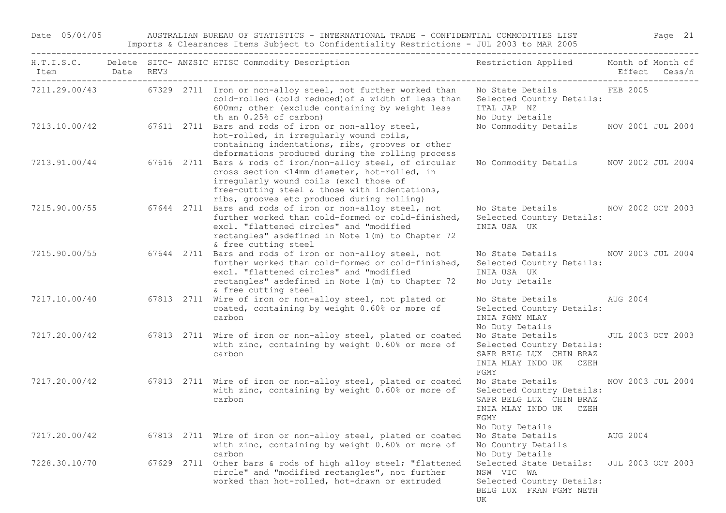Date 05/04/05 AUSTRALIAN BUREAU OF STATISTICS - INTERNATIONAL TRADE - CONFIDENTIAL COMMODITIES LIST Page 21 Imports & Clearances Items Subject to Confidentiality Restrictions - JUL 2003 to MAR 2005

| Item Date REV3 |  | H.T.I.S.C. Delete SITC- ANZSIC HTISC Commodity Description                                                                                                                                                                                           | Restriction Applied Month of Month of                                                                                         | Effect Cess/n            |  |
|----------------|--|------------------------------------------------------------------------------------------------------------------------------------------------------------------------------------------------------------------------------------------------------|-------------------------------------------------------------------------------------------------------------------------------|--------------------------|--|
|                |  | 7211.29.00/43 67329 2711 Iron or non-alloy steel, not further worked than<br>cold-rolled (cold reduced) of a width of less than<br>600mm; other (exclude containing by weight less<br>th an $0.25$ % of carbon)                                      | No State Details FEB 2005<br>Selected Country Details:<br>ITAL JAP NZ<br>No Duty Details                                      |                          |  |
| 7213.10.00/42  |  | 67611 2711 Bars and rods of iron or non-alloy steel,<br>hot-rolled, in irregularly wound coils,<br>containing indentations, ribs, grooves or other<br>deformations produced during the rolling process                                               | No Commodity Details                                                                                                          | NOV 2001 JUL 2004        |  |
| 7213.91.00/44  |  | 67616 2711 Bars & rods of iron/non-alloy steel, of circular<br>cross section <14mm diameter, hot-rolled, in<br>irregularly wound coils (excl those of<br>free-cutting steel & those with indentations,<br>ribs, grooves etc produced during rolling) | No Commodity Details NOV 2002 JUL 2004                                                                                        |                          |  |
|                |  | 7215.90.00/55 67644 2711 Bars and rods of iron or non-alloy steel, not<br>further worked than cold-formed or cold-finished,<br>excl. "flattened circles" and "modified<br>rectangles" asdefined in Note 1(m) to Chapter 72<br>& free cutting steel   | No State Details NOV 2002 OCT 2003<br>Selected Country Details:<br>INIA USA UK                                                |                          |  |
| 7215.90.00/55  |  | 67644 2711 Bars and rods of iron or non-alloy steel, not<br>further worked than cold-formed or cold-finished,<br>excl. "flattened circles" and "modified<br>rectangles" asdefined in Note 1(m) to Chapter 72<br>& free cutting steel                 | No State Details 6000 NOV 2003 JUL 2004<br>Selected Country Details:<br>INIA USA UK<br>No Duty Details                        |                          |  |
| 7217.10.00/40  |  | 67813 2711 Wire of iron or non-alloy steel, not plated or<br>coated, containing by weight 0.60% or more of<br>carbon                                                                                                                                 | No State Details<br>Selected Country Details:<br>INIA FGMY MLAY<br>No Duty Details                                            | AUG 2004                 |  |
| 7217.20.00/42  |  | 67813 2711 Wire of iron or non-alloy steel, plated or coated<br>with zinc, containing by weight 0.60% or more of<br>carbon                                                                                                                           | No State Details<br>Selected Country Details:<br>SAFR BELG LUX CHIN BRAZ<br>INIA MLAY INDO UK CZEH<br>FGMY                    | <b>JUL 2003 OCT 2003</b> |  |
| 7217.20.00/42  |  | 67813 2711 Wire of iron or non-alloy steel, plated or coated<br>with zinc, containing by weight 0.60% or more of<br>carbon                                                                                                                           | No State Details<br>Selected Country Details:<br>SAFR BELG LUX CHIN BRAZ<br>INIA MLAY INDO UK CZEH<br>FGMY<br>No Duty Details | NOV 2003 JUL 2004        |  |
| 7217.20.00/42  |  | 67813 2711 Wire of iron or non-alloy steel, plated or coated<br>with zinc, containing by weight 0.60% or more of<br>carbon                                                                                                                           | No State Details AUG 2004<br>No Country Details<br>No Duty Details                                                            |                          |  |
| 7228.30.10/70  |  | 67629 2711 Other bars & rods of high alloy steel; "flattened<br>circle" and "modified rectangles", not further<br>worked than hot-rolled, hot-drawn or extruded                                                                                      | Selected State Details: JUL 2003 OCT 2003<br>NSW VIC WA<br>Selected Country Details:<br>BELG LUX FRAN FGMY NETH<br>UK         |                          |  |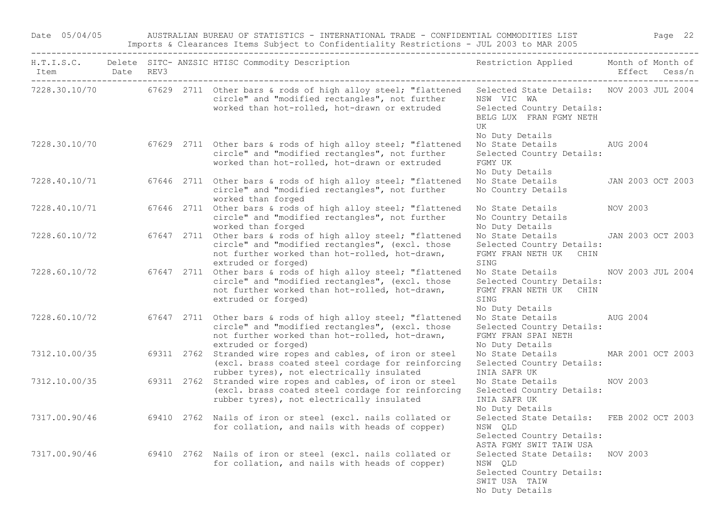Date 05/04/05 AUSTRALIAN BUREAU OF STATISTICS - INTERNATIONAL TRADE - CONFIDENTIAL COMMODITIES LIST Page 22 Imports & Clearances Items Subject to Confidentiality Restrictions - JUL 2003 to MAR 2005

| Item Date REV3 |  | H.T.I.S.C. Delete SITC- ANZSIC HTISC Commodity Description                                                                                                                                             | Restriction Applied Month of Month of                                                                                                    | Effect Cess/n     |  |
|----------------|--|--------------------------------------------------------------------------------------------------------------------------------------------------------------------------------------------------------|------------------------------------------------------------------------------------------------------------------------------------------|-------------------|--|
|                |  | 7228.30.10/70 67629 2711 Other bars & rods of high alloy steel; "flattened<br>circle" and "modified rectangles", not further<br>worked than hot-rolled, hot-drawn or extruded                          | Selected State Details: NOV 2003 JUL 2004<br>NSW VIC WA<br>Selected Country Details:<br>BELG LUX FRAN FGMY NETH<br>UK<br>No Duty Details |                   |  |
|                |  | 7228.30.10/70 67629 2711 Other bars & rods of high alloy steel; "flattened<br>circle" and "modified rectangles", not further<br>worked than hot-rolled, hot-drawn or extruded                          | No State Details AUG 2004<br>Selected Country Details:<br>FGMY UK<br>No Duty Details                                                     |                   |  |
|                |  | 7228.40.10/71 67646 2711 Other bars & rods of high alloy steel; "flattened<br>circle" and "modified rectangles", not further<br>worked than forged                                                     | No State Details 5 JAN 2003 OCT 2003<br>No Country Details                                                                               |                   |  |
| 7228.40.10/71  |  | 67646 2711 Other bars & rods of high alloy steel; "flattened<br>circle" and "modified rectangles", not further<br>worked than forged                                                                   | No State Details<br>No Country Details<br>No Duty Details                                                                                | NOV 2003          |  |
|                |  | 7228.60.10/72 67647 2711 Other bars & rods of high alloy steel; "flattened<br>circle" and "modified rectangles", (excl. those<br>not further worked than hot-rolled, hot-drawn,<br>extruded or forged) | No State Details JAN 2003 OCT 2003<br>Selected Country Details:<br>FGMY FRAN NETH UK CHIN<br>SING                                        |                   |  |
|                |  | 7228.60.10/72 67647 2711 Other bars & rods of high alloy steel; "flattened<br>circle" and "modified rectangles", (excl. those<br>not further worked than hot-rolled, hot-drawn,<br>extruded or forged) | No State Details MOV 2003 JUL 2004<br>Selected Country Details:<br>FGMY FRAN NETH UK CHIN<br>SING<br>No Duty Details                     |                   |  |
|                |  | 7228.60.10/72 67647 2711 Other bars & rods of high alloy steel; "flattened<br>circle" and "modified rectangles", (excl. those<br>not further worked than hot-rolled, hot-drawn,<br>extruded or forged) | No State Details AUG 2004<br>Selected Country Details:<br>FGMY FRAN SPAI NETH<br>No Duty Details                                         |                   |  |
|                |  | 7312.10.00/35 69311 2762 Stranded wire ropes and cables, of iron or steel<br>(excl. brass coated steel cordage for reinforcing<br>rubber tyres), not electrically insulated                            | No State Details<br>Selected Country Details:<br>INIA SAFR UK                                                                            | MAR 2001 OCT 2003 |  |
| 7312.10.00/35  |  | 69311 2762 Stranded wire ropes and cables, of iron or steel<br>(excl. brass coated steel cordage for reinforcing<br>rubber tyres), not electrically insulated                                          | No State Details NOV 2003<br>Selected Country Details:<br>INIA SAFR UK<br>No Duty Details                                                |                   |  |
|                |  | 7317.00.90/46 69410 2762 Nails of iron or steel (excl. nails collated or<br>for collation, and nails with heads of copper)                                                                             | Selected State Details: FEB 2002 OCT 2003<br>NSW QLD<br>Selected Country Details:<br>ASTA FGMY SWIT TAIW USA                             |                   |  |
|                |  | 7317.00.90/46 69410 2762 Nails of iron or steel (excl. nails collated or<br>for collation, and nails with heads of copper)                                                                             | Selected State Details: NOV 2003<br>NSW QLD<br>Selected Country Details:<br>SWIT USA TAIW<br>No Duty Details                             |                   |  |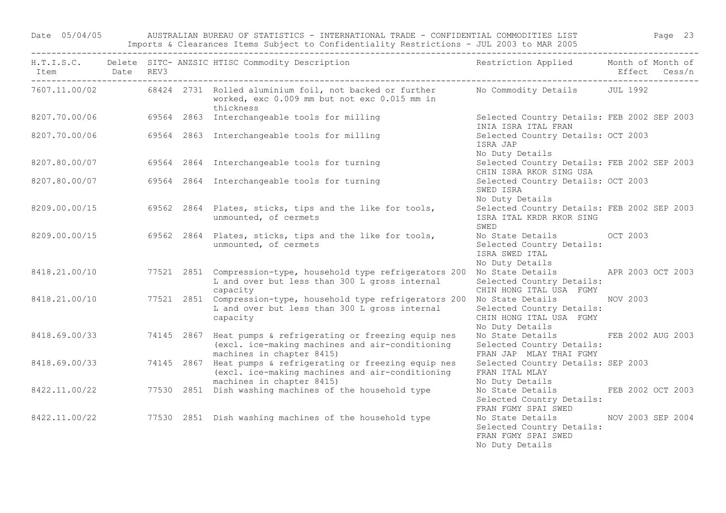Date 05/04/05 AUSTRALIAN BUREAU OF STATISTICS - INTERNATIONAL TRADE - CONFIDENTIAL COMMODITIES LIST Page 23 Imports & Clearances Items Subject to Confidentiality Restrictions - JUL 2003 to MAR 2005

| Item Date REV3<br>------------------------------- |            | H.T.I.S.C. Delete SITC- ANZSIC HTISC Commodity Description                                                                                                       | Restriction Applied Month of Month of                                                       |                   | Effect Cess/n     |
|---------------------------------------------------|------------|------------------------------------------------------------------------------------------------------------------------------------------------------------------|---------------------------------------------------------------------------------------------|-------------------|-------------------|
|                                                   |            | 7607.11.00/02 68424 2731 Rolled aluminium foil, not backed or further No Commodity Details JUL 1992<br>worked, exc 0.009 mm but not exc 0.015 mm in<br>thickness |                                                                                             |                   |                   |
| 8207.70.00/06                                     |            | 69564 2863 Interchangeable tools for milling                                                                                                                     | Selected Country Details: FEB 2002 SEP 2003<br>INIA ISRA ITAL FRAN                          |                   |                   |
| 8207.70.00/06                                     |            | 69564 2863 Interchangeable tools for milling                                                                                                                     | Selected Country Details: OCT 2003<br>ISRA JAP<br>No Duty Details                           |                   |                   |
| 8207.80.00/07                                     |            | 69564 2864 Interchangeable tools for turning                                                                                                                     | Selected Country Details: FEB 2002 SEP 2003<br>CHIN ISRA RKOR SING USA                      |                   |                   |
| 8207.80.00/07                                     |            | 69564 2864 Interchangeable tools for turning                                                                                                                     | Selected Country Details: OCT 2003<br>SWED ISRA<br>No Duty Details                          |                   |                   |
| 8209.00.00/15                                     |            | 69562 2864 Plates, sticks, tips and the like for tools,<br>unmounted, of cermets                                                                                 | Selected Country Details: FEB 2002 SEP 2003<br>ISRA ITAL KRDR RKOR SING<br>SWED             |                   |                   |
| 8209.00.00/15                                     |            | 69562 2864 Plates, sticks, tips and the like for tools,<br>unmounted, of cermets                                                                                 | No State Details OCT 2003<br>Selected Country Details:<br>ISRA SWED ITAL<br>No Duty Details |                   |                   |
| 8418.21.00/10                                     |            | 77521 2851 Compression-type, household type refrigerators 200<br>L and over but less than 300 L gross internal<br>capacity                                       | No State Details APR 2003 OCT 2003<br>Selected Country Details:<br>CHIN HONG ITAL USA FGMY  |                   |                   |
| 8418.21.00/10                                     |            | 77521 2851 Compression-type, household type refrigerators 200<br>L and over but less than 300 L gross internal<br>capacity                                       | No State Details<br>Selected Country Details:<br>CHIN HONG ITAL USA FGMY<br>No Duty Details | NOV 2003          |                   |
| 8418.69.00/33                                     | 74145 2867 | Heat pumps & refrigerating or freezing equip nes<br>(excl. ice-making machines and air-conditioning<br>machines in chapter 8415)                                 | No State Details<br>Selected Country Details:<br>FRAN JAP MLAY THAI FGMY                    |                   | FEB 2002 AUG 2003 |
| 8418.69.00/33                                     | 74145 2867 | Heat pumps & refrigerating or freezing equip nes<br>(excl. ice-making machines and air-conditioning<br>machines in chapter 8415)                                 | Selected Country Details: SEP 2003<br>FRAN ITAL MLAY<br>No Duty Details                     |                   |                   |
| 8422.11.00/22                                     |            | 77530 2851 Dish washing machines of the household type                                                                                                           | No State Details FEB 2002 OCT 2003<br>Selected Country Details:<br>FRAN FGMY SPAI SWED      |                   |                   |
|                                                   |            | 8422.11.00/22 77530 2851 Dish washing machines of the household type                                                                                             | No State Details<br>Selected Country Details:<br>FRAN FGMY SPAI SWED<br>No Duty Details     | NOV 2003 SEP 2004 |                   |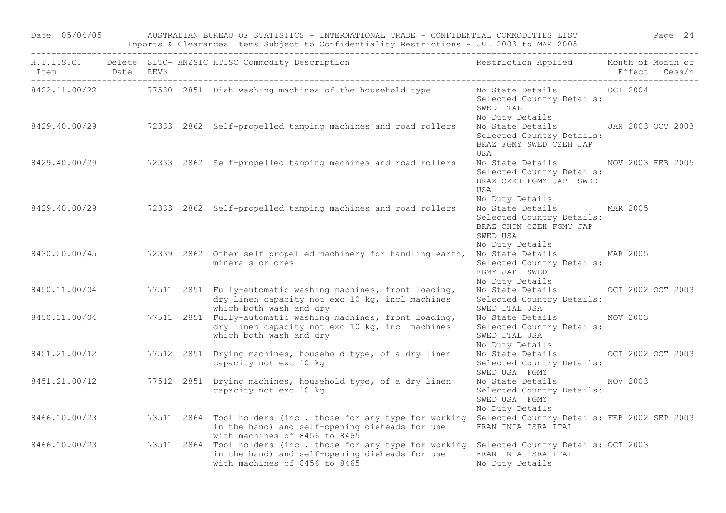Date 05/04/05 AUSTRALIAN BUREAU OF STATISTICS - INTERNATIONAL TRADE - CONFIDENTIAL COMMODITIES LIST Page 24 Imports & Clearances Items Subject to Confidentiality Restrictions - JUL 2003 to MAR 2005

|               |  | H.T.I.S.C. Delete SITC-ANZSIC HTISC Commodity Description Nestriction Applied Month of Month of                                                                                                   |                                                                                                                      |  |
|---------------|--|---------------------------------------------------------------------------------------------------------------------------------------------------------------------------------------------------|----------------------------------------------------------------------------------------------------------------------|--|
|               |  | 8422.11.00/22 77530 2851 Dish washing machines of the household type                                                                                                                              | No State Details 6 6 6 7 2004<br>Selected Country Details:<br>SWED ITAL<br>No Duty Details                           |  |
|               |  | 8429.40.00/29 72333 2862 Self-propelled tamping machines and road rollers                                                                                                                         | No State Details JAN 2003 OCT 2003<br>Selected Country Details:<br>BRAZ FGMY SWED CZEH JAP<br>USA                    |  |
|               |  | 8429.40.00/29 72333 2862 Self-propelled tamping machines and road rollers                                                                                                                         | No State Details MOV 2003 FEB 2005<br>Selected Country Details:<br>BRAZ CZEH FGMY JAP SWED<br>USA<br>No Duty Details |  |
|               |  | 8429.40.00/29 72333 2862 Self-propelled tamping machines and road rollers                                                                                                                         | No State Details MAR 2005<br>Selected Country Details:<br>BRAZ CHIN CZEH FGMY JAP<br>SWED USA<br>No Duty Details     |  |
|               |  | 8430.50.00/45 72339 2862 Other self propelled machinery for handling earth,<br>minerals or ores                                                                                                   | No State Details MAR 2005<br>Selected Country Details:<br>FGMY JAP SWED<br>No Duty Details                           |  |
|               |  | 8450.11.00/04 77511 2851 Fully-automatic washing machines, front loading,<br>dry linen capacity not exc 10 kg, incl machines<br>which both wash and dry                                           | No State Details OCT 2002 OCT 2003<br>Selected Country Details:<br>SWED ITAL USA                                     |  |
| 8450.11.00/04 |  | 77511 2851 Fully-automatic washing machines, front loading,<br>dry linen capacity not exc 10 kg, incl machines<br>which both wash and dry                                                         | No State Details NOV 2003<br>Selected Country Details:<br>SWED ITAL USA<br>No Duty Details                           |  |
| 8451.21.00/12 |  | 77512 2851 Drying machines, household type, of a dry linen<br>capacity not exc 10 kg                                                                                                              | No State Details OCT 2002 OCT 2003<br>Selected Country Details:<br>SWED USA FGMY                                     |  |
| 8451.21.00/12 |  | 77512 2851 Drying machines, household type, of a dry linen<br>capacity not exc 10 kg                                                                                                              | No State Details NOV 2003<br>Selected Country Details:<br>SWED USA FGMY<br>No Duty Details                           |  |
|               |  | 8466.10.00/23 73511 2864 Tool holders (incl. those for any type for working<br>in the hand) and self-opening dieheads for use<br>with machines of 8456 to 8465                                    | Selected Country Details: FEB 2002 SEP 2003<br>FRAN INIA ISRA ITAL                                                   |  |
|               |  | 8466.10.00/23 73511 2864 Tool holders (incl. those for any type for working Selected Country Details: OCT 2003<br>in the hand) and self-opening dieheads for use<br>with machines of 8456 to 8465 | FRAN INIA ISRA ITAL<br>No Duty Details                                                                               |  |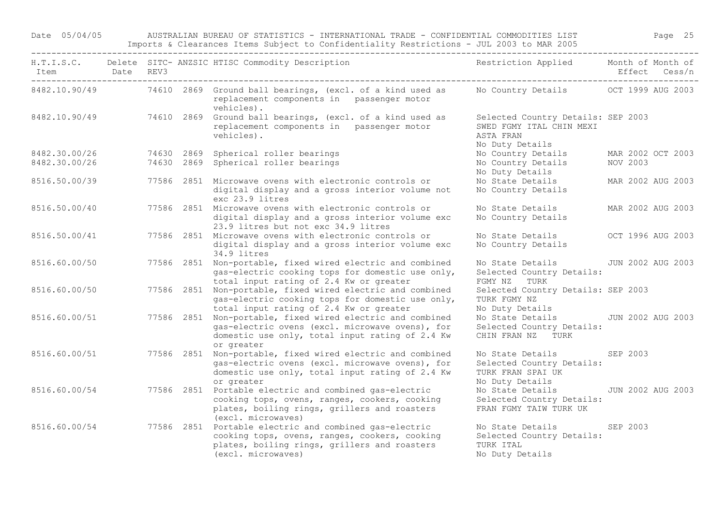Date 05/04/05 AUSTRALIAN BUREAU OF STATISTICS - INTERNATIONAL TRADE - CONFIDENTIAL COMMODITIES LIST Page 25 Imports & Clearances Items Subject to Confidentiality Restrictions - JUL 2003 to MAR 2005

| Item Date REV3<br>------------------------------- |  | -------------------------<br>H.T.I.S.C. Delete SITC- ANZSIC HTISC Commodity Description                                                                                        | Restriction Applied Month of Month of                                                          |                 | Effect Cess/n     |
|---------------------------------------------------|--|--------------------------------------------------------------------------------------------------------------------------------------------------------------------------------|------------------------------------------------------------------------------------------------|-----------------|-------------------|
|                                                   |  | 8482.10.90/49 74610 2869 Ground ball bearings, (excl. of a kind used as No Country Details OCT 1999 AUG 2003<br>replacement components in passenger motor<br>vehicles).        |                                                                                                |                 |                   |
|                                                   |  | 8482.10.90/49 74610 2869 Ground ball bearings, (excl. of a kind used as<br>replacement components in passenger motor<br>vehicles).                                             | Selected Country Details: SEP 2003<br>SWED FGMY ITAL CHIN MEXI<br>ASTA FRAN<br>No Duty Details |                 |                   |
| 8482.30.00/26                                     |  | 74630 2869 Spherical roller bearings                                                                                                                                           | No Country Details                                                                             |                 | MAR 2002 OCT 2003 |
| 8482.30.00/26                                     |  | 74630 2869 Spherical roller bearings                                                                                                                                           | No Country Details<br>No Duty Details                                                          | NOV 2003        |                   |
| 8516.50.00/39                                     |  | 77586 2851 Microwave ovens with electronic controls or<br>digital display and a gross interior volume not<br>exc 23.9 litres                                                   | No State Details<br>No Country Details                                                         |                 | MAR 2002 AUG 2003 |
| 8516.50.00/40                                     |  | 77586 2851 Microwave ovens with electronic controls or<br>digital display and a gross interior volume exc<br>23.9 litres but not exc 34.9 litres                               | No State Details<br>No Country Details                                                         |                 | MAR 2002 AUG 2003 |
| 8516.50.00/41                                     |  | 77586 2851 Microwave ovens with electronic controls or<br>digital display and a gross interior volume exc<br>34.9 litres                                                       | No State Details<br>No Country Details                                                         |                 | OCT 1996 AUG 2003 |
| 8516.60.00/50                                     |  | 77586 2851 Non-portable, fixed wired electric and combined<br>gas-electric cooking tops for domestic use only,<br>total input rating of 2.4 Kw or greater                      | No State Details<br>Selected Country Details:<br>FGMY NZ TURK                                  |                 | JUN 2002 AUG 2003 |
| 8516.60.00/50                                     |  | 77586 2851 Non-portable, fixed wired electric and combined<br>gas-electric cooking tops for domestic use only,<br>total input rating of 2.4 Kw or greater                      | Selected Country Details: SEP 2003<br>TURK FGMY NZ<br>No Duty Details                          |                 |                   |
| 8516.60.00/51                                     |  | 77586 2851 Non-portable, fixed wired electric and combined<br>gas-electric ovens (excl. microwave ovens), for<br>domestic use only, total input rating of 2.4 Kw<br>or greater | No State Details JUN 2002 AUG 2003<br>Selected Country Details:<br>CHIN FRAN NZ TURK           |                 |                   |
| 8516.60.00/51                                     |  | 77586 2851 Non-portable, fixed wired electric and combined<br>gas-electric ovens (excl. microwave ovens), for<br>domestic use only, total input rating of 2.4 Kw<br>or greater | No State Details<br>Selected Country Details:<br>TURK FRAN SPAI UK<br>No Duty Details          | SEP 2003        |                   |
| 8516.60.00/54                                     |  | 77586 2851 Portable electric and combined gas-electric<br>cooking tops, ovens, ranges, cookers, cooking<br>plates, boiling rings, grillers and roasters<br>(excl. microwaves)  | No State Details JUN 2002 AUG 2003<br>Selected Country Details:<br>FRAN FGMY TAIW TURK UK      |                 |                   |
| 8516.60.00/54                                     |  | 77586 2851 Portable electric and combined gas-electric<br>cooking tops, ovens, ranges, cookers, cooking<br>plates, boiling rings, grillers and roasters<br>(excl. microwaves)  | No State Details<br>Selected Country Details:<br>TURK ITAL<br>No Duty Details                  | <b>SEP 2003</b> |                   |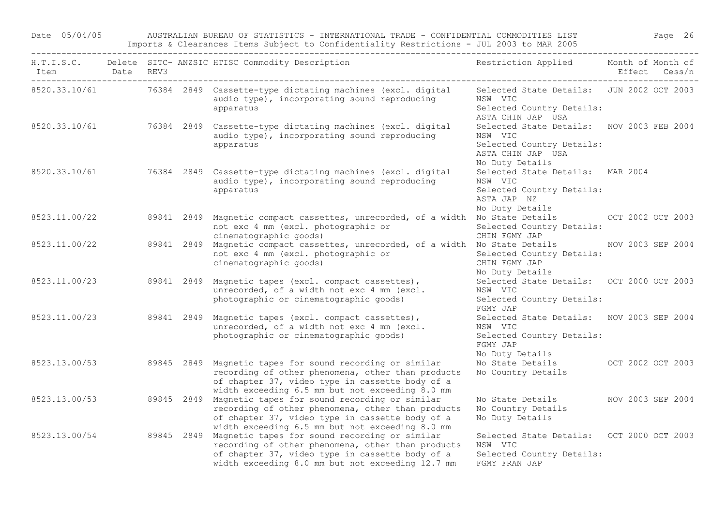Date 05/04/05 AUSTRALIAN BUREAU OF STATISTICS - INTERNATIONAL TRADE - CONFIDENTIAL COMMODITIES LIST Page 26 Imports & Clearances Items Subject to Confidentiality Restrictions - JUL 2003 to MAR 2005

| Item Date REV3<br>_____________________________________ |  | H.T.I.S.C. Delete SITC- ANZSIC HTISC Commodity Description                                                                                                                                                                         | Restriction Applied Month of Month of                                                                                     | Effect Cess/n     |
|---------------------------------------------------------|--|------------------------------------------------------------------------------------------------------------------------------------------------------------------------------------------------------------------------------------|---------------------------------------------------------------------------------------------------------------------------|-------------------|
|                                                         |  | 8520.33.10/61 76384 2849 Cassette-type dictating machines (excl. digital<br>audio type), incorporating sound reproducing<br>apparatus                                                                                              | Selected State Details: JUN 2002 OCT 2003<br>NSW VIC<br>Selected Country Details:<br>ASTA CHIN JAP USA                    |                   |
|                                                         |  | 8520.33.10/61 76384 2849 Cassette-type dictating machines (excl. digital<br>audio type), incorporating sound reproducing<br>apparatus                                                                                              | Selected State Details: NOV 2003 FEB 2004<br>NSW VIC<br>Selected Country Details:<br>ASTA CHIN JAP USA<br>No Duty Details |                   |
|                                                         |  | 8520.33.10/61 76384 2849 Cassette-type dictating machines (excl. digital<br>audio type), incorporating sound reproducing<br>apparatus                                                                                              | Selected State Details: MAR 2004<br>NSW VIC<br>Selected Country Details:<br>ASTA JAP NZ<br>No Duty Details                |                   |
| 8523.11.00/22                                           |  | 89841 2849 Magnetic compact cassettes, unrecorded, of a width No State Details 60 000 000 000 2003<br>not exc 4 mm (excl. photographic or<br>cinematographic goods)                                                                | Selected Country Details:<br>CHIN FGMY JAP                                                                                |                   |
| 8523.11.00/22                                           |  | 89841 2849 Magnetic compact cassettes, unrecorded, of a width No State Details MOV 2003 SEP 2004<br>not exc 4 mm (excl. photographic or<br>cinematographic goods)                                                                  | Selected Country Details:<br>CHIN FGMY JAP<br>No Duty Details                                                             |                   |
|                                                         |  | 8523.11.00/23 89841 2849 Magnetic tapes (excl. compact cassettes),<br>unrecorded, of a width not exc 4 mm (excl.<br>photographic or cinematographic goods)                                                                         | Selected State Details: OCT 2000 OCT 2003<br>NSW VIC<br>Selected Country Details:<br>FGMY JAP                             |                   |
| 8523.11.00/23                                           |  | 89841 2849 Magnetic tapes (excl. compact cassettes),<br>unrecorded, of a width not exc 4 mm (excl.<br>photographic or cinematographic goods)                                                                                       | Selected State Details: NOV 2003 SEP 2004<br>NSW VIC<br>Selected Country Details:<br>FGMY JAP<br>No Duty Details          |                   |
| 8523.13.00/53                                           |  | 89845 2849 Magnetic tapes for sound recording or similar<br>recording of other phenomena, other than products<br>of chapter 37, video type in cassette body of a<br>width exceeding 6.5 mm but not exceeding 8.0 mm                | No State Details OCT 2002 OCT 2003<br>No Country Details                                                                  |                   |
| 8523.13.00/53                                           |  | 89845 2849 Magnetic tapes for sound recording or similar<br>recording of other phenomena, other than products<br>of chapter 37, video type in cassette body of a<br>width exceeding 6.5 mm but not exceeding 8.0 mm                | No State Details<br>No Country Details<br>No Duty Details                                                                 | NOV 2003 SEP 2004 |
|                                                         |  | 8523.13.00/54 89845 2849 Magnetic tapes for sound recording or similar<br>recording of other phenomena, other than products<br>of chapter 37, video type in cassette body of a<br>width exceeding 8.0 mm but not exceeding 12.7 mm | Selected State Details: OCT 2000 OCT 2003<br>NSW VIC<br>Selected Country Details:<br>FGMY FRAN JAP                        |                   |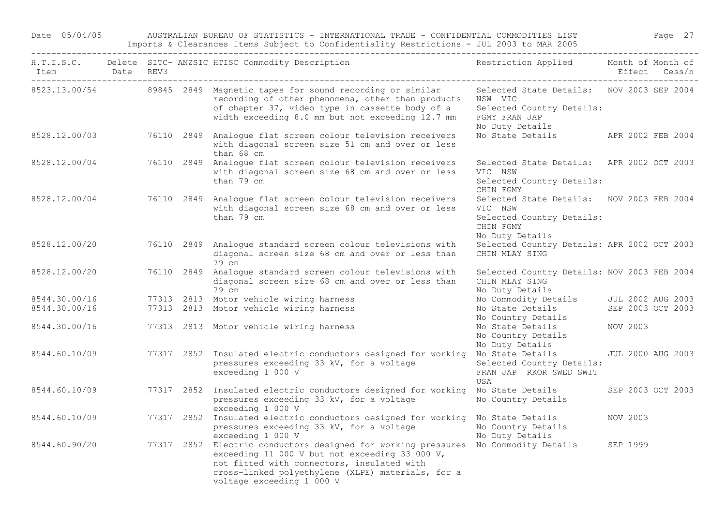Date 05/04/05 AUSTRALIAN BUREAU OF STATISTICS - INTERNATIONAL TRADE - CONFIDENTIAL COMMODITIES LIST Page 27 Imports & Clearances Items Subject to Confidentiality Restrictions - JUL 2003 to MAR 2005

| Item Date REV3 |  | H.T.I.S.C. Delete SITC- ANZSIC HTISC Commodity Description                                                                                                                                                                                                                    | Restriction Applied Month of Month of                                                                                 | Effect Cess/n            |  |
|----------------|--|-------------------------------------------------------------------------------------------------------------------------------------------------------------------------------------------------------------------------------------------------------------------------------|-----------------------------------------------------------------------------------------------------------------------|--------------------------|--|
|                |  | 8523.13.00/54 89845 2849 Magnetic tapes for sound recording or similar<br>recording of other phenomena, other than products<br>of chapter 37, video type in cassette body of a<br>width exceeding 8.0 mm but not exceeding 12.7 mm                                            | Selected State Details: NOV 2003 SEP 2004<br>NSW VIC<br>Selected Country Details:<br>FGMY FRAN JAP<br>No Duty Details |                          |  |
| 8528.12.00/03  |  | 76110 2849 Analogue flat screen colour television receivers<br>with diagonal screen size 51 cm and over or less<br>than 68 cm                                                                                                                                                 | No State Details                                                                                                      | APR 2002 FEB 2004        |  |
| 8528.12.00/04  |  | 76110 2849 Analogue flat screen colour television receivers<br>with diagonal screen size 68 cm and over or less<br>than 79 cm                                                                                                                                                 | Selected State Details: APR 2002 OCT 2003<br>VIC NSW<br>Selected Country Details:<br>CHIN FGMY                        |                          |  |
| 8528.12.00/04  |  | 76110 2849 Analogue flat screen colour television receivers<br>with diagonal screen size 68 cm and over or less<br>than 79 cm                                                                                                                                                 | Selected State Details: NOV 2003 FEB 2004<br>VIC NSW<br>Selected Country Details:<br>CHIN FGMY<br>No Duty Details     |                          |  |
| 8528.12.00/20  |  | 76110 2849 Analogue standard screen colour televisions with<br>diagonal screen size 68 cm and over or less than<br>79 cm                                                                                                                                                      | Selected Country Details: APR 2002 OCT 2003<br>CHIN MLAY SING                                                         |                          |  |
| 8528.12.00/20  |  | 76110 2849 Analogue standard screen colour televisions with<br>diagonal screen size 68 cm and over or less than<br>79 cm                                                                                                                                                      | Selected Country Details: NOV 2003 FEB 2004<br>CHIN MLAY SING<br>No Duty Details                                      |                          |  |
| 8544.30.00/16  |  | 77313 2813 Motor vehicle wiring harness                                                                                                                                                                                                                                       | No Commodity Details JUL 2002 AUG 2003                                                                                |                          |  |
| 8544.30.00/16  |  | 77313 2813 Motor vehicle wiring harness                                                                                                                                                                                                                                       | No State Details<br>No Country Details                                                                                | SEP 2003 OCT 2003        |  |
| 8544.30.00/16  |  | 77313 2813 Motor vehicle wiring harness                                                                                                                                                                                                                                       | No State Details<br>No Country Details<br>No Duty Details                                                             | NOV 2003                 |  |
| 8544.60.10/09  |  | 77317 2852 Insulated electric conductors designed for working<br>pressures exceeding 33 kV, for a voltage<br>exceeding 1 000 V                                                                                                                                                | No State Details<br>Selected Country Details:<br>FRAN JAP RKOR SWED SWIT<br>USA                                       | <b>JUL 2000 AUG 2003</b> |  |
| 8544.60.10/09  |  | 77317 2852 Insulated electric conductors designed for working<br>pressures exceeding 33 kV, for a voltage<br>exceeding 1 000 V                                                                                                                                                | No State Details<br>No Country Details                                                                                | SEP 2003 OCT 2003        |  |
| 8544.60.10/09  |  | 77317 2852 Insulated electric conductors designed for working No State Details<br>pressures exceeding 33 kV, for a voltage<br>exceeding 1 000 V                                                                                                                               | No Country Details<br>No Duty Details                                                                                 | NOV 2003                 |  |
| 8544.60.90/20  |  | 77317 2852 Electric conductors designed for working pressures No Commodity Details SEP 1999<br>exceeding 11 000 V but not exceeding 33 000 V,<br>not fitted with connectors, insulated with<br>cross-linked polyethylene (XLPE) materials, for a<br>voltage exceeding 1 000 V |                                                                                                                       |                          |  |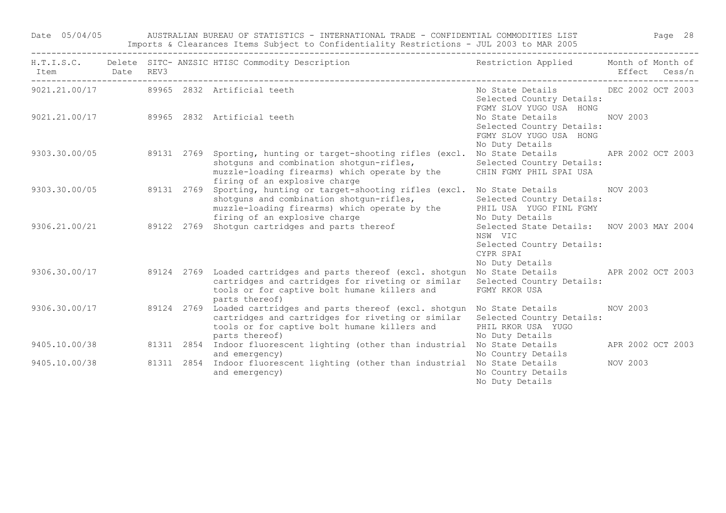Date 05/04/05 AUSTRALIAN BUREAU OF STATISTICS - INTERNATIONAL TRADE - CONFIDENTIAL COMMODITIES LIST Page 28 Imports & Clearances Items Subject to Confidentiality Restrictions - JUL 2003 to MAR 2005

| Item Date REV3 |  | H.T.I.S.C. Delete SITC- ANZSIC HTISC Commodity Description                                                                                                                                                            | Restriction Applied Month of Month of                                                                             |                   | Effect Cess/n |
|----------------|--|-----------------------------------------------------------------------------------------------------------------------------------------------------------------------------------------------------------------------|-------------------------------------------------------------------------------------------------------------------|-------------------|---------------|
|                |  | 9021.21.00/17 89965 2832 Artificial teeth                                                                                                                                                                             | No State Details 6 DEC 2002 OCT 2003<br>Selected Country Details:<br>FGMY SLOV YUGO USA HONG                      |                   |               |
|                |  | 9021.21.00/17 89965 2832 Artificial teeth                                                                                                                                                                             | No State Details NOV 2003<br>Selected Country Details:<br>FGMY SLOV YUGO USA HONG<br>No Duty Details              |                   |               |
|                |  | 9303.30.00/05 89131 2769 Sporting, hunting or target-shooting rifles (excl.<br>shotguns and combination shotgun-rifles,<br>muzzle-loading firearms) which operate by the<br>firing of an explosive charge             | No State Details APR 2002 OCT 2003<br>Selected Country Details:<br>CHIN FGMY PHIL SPAI USA                        |                   |               |
| 9303.30.00/05  |  | 89131 2769 Sporting, hunting or target-shooting rifles (excl. No State Details MOV 2003<br>shotguns and combination shotgun-rifles,<br>muzzle-loading firearms) which operate by the<br>firing of an explosive charge | Selected Country Details:<br>PHIL USA YUGO FINL FGMY<br>No Duty Details                                           |                   |               |
|                |  | tiring of an explosive charge<br>9306.21.00/21                     89122   2769   Shotgun cartridges and parts thereof                                                                                                | Selected State Details: NOV 2003 MAY 2004<br>NSW VIC<br>Selected Country Details:<br>CYPR SPAI<br>No Duty Details |                   |               |
|                |  | 9306.30.00/17 39124 2769 Loaded cartridges and parts thereof (excl. shotgun<br>cartridges and cartridges for riveting or similar<br>tools or for captive bolt humane killers and<br>parts thereof)                    | No State Details APR 2002 OCT 2003<br>Selected Country Details:<br>FGMY RKOR USA                                  |                   |               |
| 9306.30.00/17  |  | 89124 2769 Loaded cartridges and parts thereof (excl. shotgun No State Details MOV 2003<br>cartridges and cartridges for riveting or similar<br>tools or for captive bolt humane killers and<br>parts thereof)        | Selected Country Details:<br>PHIL RKOR USA YUGO<br>No Duty Details                                                |                   |               |
| 9405.10.00/38  |  | 81311 2854 Indoor fluorescent lighting (other than industrial No State Details<br>and emergency)                                                                                                                      | No Country Details                                                                                                | APR 2002 OCT 2003 |               |
| 9405.10.00/38  |  | 81311 2854 Indoor fluorescent lighting (other than industrial No State Details<br>and emergency)                                                                                                                      | No Country Details<br>No Duty Details                                                                             | NOV 2003          |               |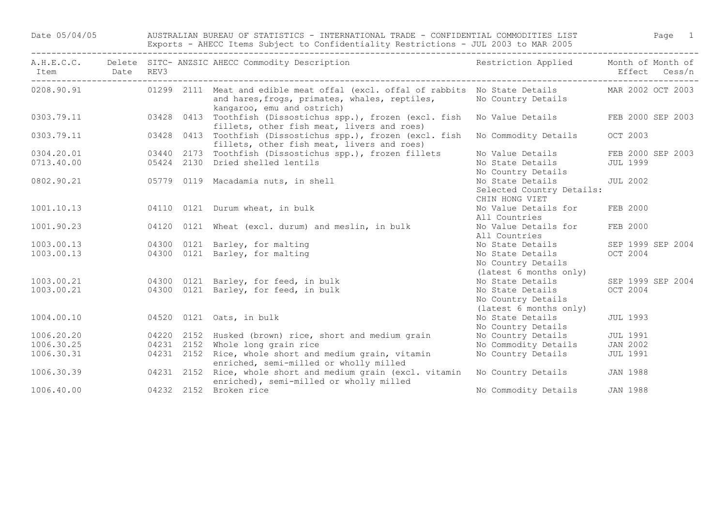Date 05/04/05 AUSTRALIAN BUREAU OF STATISTICS - INTERNATIONAL TRADE - CONFIDENTIAL COMMODITIES LIST Page 1 Exports - AHECC Items Subject to Confidentiality Restrictions - JUL 2003 to MAR 2005 ------------------------------------------------------------------------------------------------------------------------------------

| Item<br>----------------------------------- | <b>Date</b> | REV3       | A.H.E.C.C. Delete SITC- ANZSIC AHECC Commodity Description                                                                                                    | Restriction Applied Month of Month of |                   | Effect Cess/n |
|---------------------------------------------|-------------|------------|---------------------------------------------------------------------------------------------------------------------------------------------------------------|---------------------------------------|-------------------|---------------|
| 0208.90.91                                  |             |            | 01299 2111 Meat and edible meat offal (excl. offal of rabbits No State Details<br>and hares, frogs, primates, whales, reptiles,<br>kangaroo, emu and ostrich) | No Country Details                    | MAR 2002 OCT 2003 |               |
| 0303.79.11                                  |             |            | 03428 0413 Toothfish (Dissostichus spp.), frozen (excl. fish<br>fillets, other fish meat, livers and roes)                                                    | No Value Details                      | FEB 2000 SEP 2003 |               |
| 0303.79.11                                  |             |            | 03428 0413 Toothfish (Dissostichus spp.), frozen (excl. fish<br>fillets, other fish meat, livers and roes)                                                    | No Commodity Details                  | OCT 2003          |               |
| 0304.20.01                                  |             |            | 03440 2173 Toothfish (Dissostichus spp.), frozen fillets                                                                                                      | No Value Details                      | FEB 2000 SEP 2003 |               |
| 0713.40.00                                  |             |            | 05424 2130 Dried shelled lentils                                                                                                                              | No State Details                      | <b>JUL 1999</b>   |               |
|                                             |             |            |                                                                                                                                                               | No Country Details                    |                   |               |
| 0802.90.21                                  |             |            | 05779 0119 Macadamia nuts, in shell                                                                                                                           | No State Details                      | <b>JUL 2002</b>   |               |
|                                             |             |            |                                                                                                                                                               | Selected Country Details:             |                   |               |
|                                             |             |            |                                                                                                                                                               | CHIN HONG VIET                        |                   |               |
| 1001.10.13                                  |             |            | 04110 0121 Durum wheat, in bulk                                                                                                                               | No Value Details for                  | FEB 2000          |               |
|                                             |             |            |                                                                                                                                                               | All Countries                         |                   |               |
| 1001.90.23                                  |             | 04120      | 0121 Wheat (excl. durum) and meslin, in bulk                                                                                                                  | No Value Details for                  | FEB 2000          |               |
|                                             |             |            |                                                                                                                                                               | All Countries                         |                   |               |
| 1003.00.13                                  |             | 04300      | 0121 Barley, for malting                                                                                                                                      | No State Details                      | SEP 1999 SEP 2004 |               |
| 1003.00.13                                  |             |            | 04300 0121 Barley, for malting                                                                                                                                | No State Details                      | OCT 2004          |               |
|                                             |             |            |                                                                                                                                                               | No Country Details                    |                   |               |
|                                             |             |            |                                                                                                                                                               | (latest 6 months only)                |                   |               |
| 1003.00.21                                  |             |            | 04300 0121 Barley, for feed, in bulk                                                                                                                          | No State Details                      | SEP 1999 SEP 2004 |               |
| 1003.00.21                                  |             |            | 04300 0121 Barley, for feed, in bulk                                                                                                                          | No State Details                      | OCT 2004          |               |
|                                             |             |            |                                                                                                                                                               | No Country Details                    |                   |               |
|                                             |             |            |                                                                                                                                                               | (latest 6 months only)                |                   |               |
| 1004.00.10                                  |             |            | 04520 0121 Oats, in bulk                                                                                                                                      | No State Details                      | <b>JUL 1993</b>   |               |
|                                             |             |            |                                                                                                                                                               | No Country Details                    |                   |               |
| 1006.20.20                                  |             |            | 04220 2152 Husked (brown) rice, short and medium grain                                                                                                        | No Country Details                    | <b>JUL 1991</b>   |               |
| 1006.30.25                                  |             |            | 04231 2152 Whole long grain rice                                                                                                                              | No Commodity Details                  | JAN 2002          |               |
| 1006.30.31                                  |             |            | 04231 2152 Rice, whole short and medium grain, vitamin                                                                                                        | No Country Details                    | <b>JUL 1991</b>   |               |
|                                             |             |            | enriched, semi-milled or wholly milled                                                                                                                        |                                       |                   |               |
| 1006.30.39                                  |             | 04231 2152 | Rice, whole short and medium grain (excl. vitamin<br>enriched), semi-milled or wholly milled                                                                  | No Country Details                    | <b>JAN 1988</b>   |               |
| 1006.40.00                                  |             |            | 04232 2152 Broken rice                                                                                                                                        | No Commodity Details                  | <b>JAN 1988</b>   |               |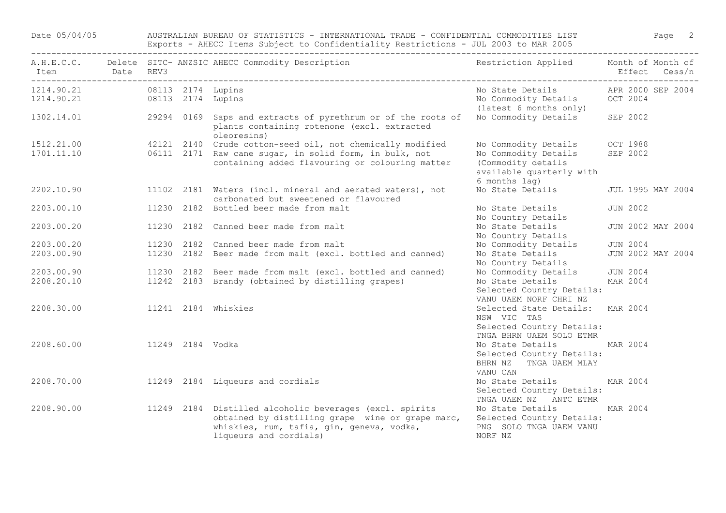Date 05/04/05 AUSTRALIAN BUREAU OF STATISTICS - INTERNATIONAL TRADE - CONFIDENTIAL COMMODITIES LIST Page 2 Exports - AHECC Items Subject to Confidentiality Restrictions - JUL 2003 to MAR 2005

| A.H.E.C.C.<br>Item       | Date | REV3             | Delete SITC- ANZSIC AHECC Commodity Description                                                                                                                                    | Restriction Applied                                                                                             | Month of Month of<br>Effect   | Cess/n |
|--------------------------|------|------------------|------------------------------------------------------------------------------------------------------------------------------------------------------------------------------------|-----------------------------------------------------------------------------------------------------------------|-------------------------------|--------|
| 1214.90.21<br>1214.90.21 |      |                  | 08113 2174 Lupins<br>08113 2174 Lupins                                                                                                                                             | No State Details<br>No Commodity Details<br>(latest 6 months only)                                              | APR 2000 SEP 2004<br>OCT 2004 |        |
| 1302.14.01               |      | 29294 0169       | Saps and extracts of pyrethrum or of the roots of<br>plants containing rotenone (excl. extracted<br>oleoresins)                                                                    | No Commodity Details                                                                                            | SEP 2002                      |        |
| 1512.21.00<br>1701.11.10 |      |                  | 42121 2140 Crude cotton-seed oil, not chemically modified<br>06111 2171 Raw cane sugar, in solid form, in bulk, not<br>containing added flavouring or colouring matter             | No Commodity Details<br>No Commodity Details<br>(Commodity details<br>available quarterly with<br>6 months lag) | OCT 1988<br>SEP 2002          |        |
| 2202.10.90               |      |                  | 11102 2181 Waters (incl. mineral and aerated waters), not<br>carbonated but sweetened or flavoured                                                                                 | No State Details                                                                                                | JUL 1995 MAY 2004             |        |
| 2203.00.10               |      |                  | 11230 2182 Bottled beer made from malt                                                                                                                                             | No State Details<br>No Country Details                                                                          | <b>JUN 2002</b>               |        |
| 2203.00.20               |      |                  | 11230 2182 Canned beer made from malt                                                                                                                                              | No State Details<br>No Country Details                                                                          | JUN 2002 MAY 2004             |        |
| 2203.00.20               |      |                  | 11230 2182 Canned beer made from malt                                                                                                                                              | No Commodity Details                                                                                            | <b>JUN 2004</b>               |        |
| 2203.00.90               |      |                  | 11230 2182 Beer made from malt (excl. bottled and canned)                                                                                                                          | No State Details<br>No Country Details                                                                          | JUN 2002 MAY 2004             |        |
| 2203.00.90               |      |                  | 11230 2182 Beer made from malt (excl. bottled and canned)                                                                                                                          | No Commodity Details                                                                                            | <b>JUN 2004</b>               |        |
| 2208.20.10               |      |                  | 11242 2183 Brandy (obtained by distilling grapes)                                                                                                                                  | No State Details<br>Selected Country Details:<br>VANU UAEM NORF CHRI NZ                                         | MAR 2004                      |        |
| 2208.30.00               |      |                  | 11241 2184 Whiskies                                                                                                                                                                | Selected State Details:<br>NSW VIC TAS                                                                          | MAR 2004                      |        |
| 2208.60.00               |      | 11249 2184 Vodka |                                                                                                                                                                                    | Selected Country Details:<br>TNGA BHRN UAEM SOLO ETMR<br>No State Details                                       | MAR 2004                      |        |
|                          |      |                  |                                                                                                                                                                                    | Selected Country Details:<br>BHRN NZ<br>TNGA UAEM MLAY<br>VANU CAN                                              |                               |        |
| 2208.70.00               |      |                  | 11249 2184 Liqueurs and cordials                                                                                                                                                   | No State Details<br>Selected Country Details:<br>TNGA UAEM NZ ANTC ETMR                                         | MAR 2004                      |        |
| 2208.90.00               |      |                  | 11249 2184 Distilled alcoholic beverages (excl. spirits<br>obtained by distilling grape wine or grape marc,<br>whiskies, rum, tafia, gin, geneva, vodka,<br>liqueurs and cordials) | No State Details<br>Selected Country Details:<br>PNG SOLO TNGA UAEM VANU<br>NORF NZ                             | MAR 2004                      |        |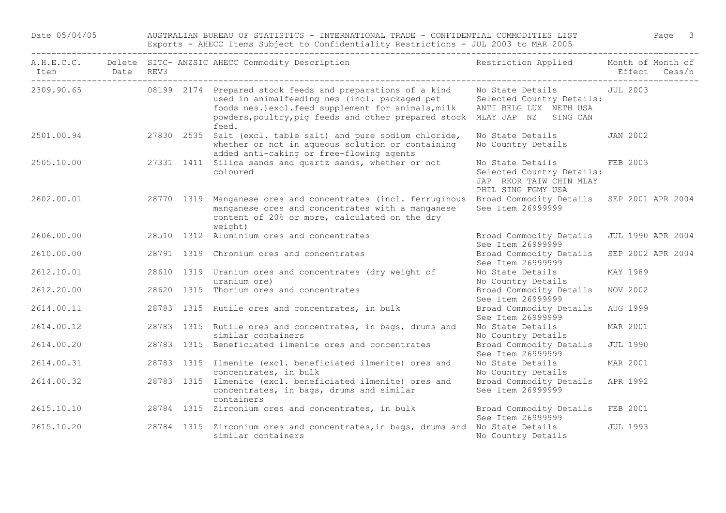Date 05/04/05 AUSTRALIAN BUREAU OF STATISTICS - INTERNATIONAL TRADE - CONFIDENTIAL COMMODITIES LIST Page 3 Exports - AHECC Items Subject to Confidentiality Restrictions - JUL 2003 to MAR 2005

| Item Date REV3<br>------------------------------- |  | A.H.E.C.C. Delete SITC- ANZSIC AHECC Commodity Description                                                                                                                                                                                                         | Restriction Applied Month of Month of                                                          |                   | Effect Cess/n |
|---------------------------------------------------|--|--------------------------------------------------------------------------------------------------------------------------------------------------------------------------------------------------------------------------------------------------------------------|------------------------------------------------------------------------------------------------|-------------------|---------------|
|                                                   |  | 2309.90.65 08199 2174 Prepared stock feeds and preparations of a kind<br>used in animalfeeding nes (incl. packaged pet<br>foods nes.) excl.feed supplement for animals, milk<br>powders, poultry, pig feeds and other prepared stock MLAY JAP NZ SING CAN<br>feed. | No State Details<br>Selected Country Details:<br>ANTI BELG LUX NETH USA                        | JUL 2003          |               |
| 2501.00.94                                        |  | 27830 2535 Salt (excl. table salt) and pure sodium chloride,<br>whether or not in aqueous solution or containing<br>added anti-caking or free-flowing agents                                                                                                       | No State Details<br>No Country Details                                                         | <b>JAN 2002</b>   |               |
| 2505.10.00                                        |  | 27331 1411 Silica sands and quartz sands, whether or not<br>coloured                                                                                                                                                                                               | No State Details<br>Selected Country Details:<br>JAP RKOR TAIW CHIN MLAY<br>PHIL SING FGMY USA | FEB 2003          |               |
| 2602.00.01                                        |  | 28770 1319 Manganese ores and concentrates (incl. ferruginous<br>manganese ores and concentrates with a manganese<br>content of 20% or more, calculated on the dry<br>weight)                                                                                      | Broad Commodity Details<br>See Item 26999999                                                   | SEP 2001 APR 2004 |               |
| 2606.00.00                                        |  | 28510 1312 Aluminium ores and concentrates                                                                                                                                                                                                                         | Broad Commodity Details<br>See Item 26999999                                                   | JUL 1990 APR 2004 |               |
| 2610.00.00                                        |  | 28791 1319 Chromium ores and concentrates                                                                                                                                                                                                                          | Broad Commodity Details<br>See Item 26999999                                                   | SEP 2002 APR 2004 |               |
| 2612.10.01                                        |  | 28610 1319 Uranium ores and concentrates (dry weight of<br>uranium ore)                                                                                                                                                                                            | No State Details<br>No Country Details                                                         | MAY 1989          |               |
| 2612.20.00                                        |  | 28620 1315 Thorium ores and concentrates                                                                                                                                                                                                                           | Broad Commodity Details<br>See Item 26999999                                                   | NOV 2002          |               |
| 2614.00.11                                        |  | 28783 1315 Rutile ores and concentrates, in bulk                                                                                                                                                                                                                   | Broad Commodity Details<br>See Item 26999999                                                   | AUG 1999          |               |
| 2614.00.12                                        |  | 28783 1315 Rutile ores and concentrates, in bags, drums and<br>similar containers                                                                                                                                                                                  | No State Details<br>No Country Details                                                         | MAR 2001          |               |
| 2614.00.20                                        |  | 28783 1315 Beneficiated ilmenite ores and concentrates                                                                                                                                                                                                             | Broad Commodity Details<br>See Item 26999999                                                   | <b>JUL 1990</b>   |               |
| 2614.00.31                                        |  | 28783 1315 Ilmenite (excl. beneficiated ilmenite) ores and                                                                                                                                                                                                         | No State Details                                                                               | MAR 2001          |               |
| 2614.00.32                                        |  | concentrates, in bulk<br>28783 1315 Ilmenite (excl. beneficiated ilmenite) ores and<br>concentrates, in bags, drums and similar<br>containers                                                                                                                      | No Country Details<br>Broad Commodity Details<br>See Item 26999999                             | APR 1992          |               |
| 2615.10.10                                        |  | 28784 1315 Zirconium ores and concentrates, in bulk                                                                                                                                                                                                                | Broad Commodity Details<br>See Item 26999999                                                   | FEB 2001          |               |
| 2615.10.20                                        |  | 28784 1315 Zirconium ores and concentrates, in bags, drums and No State Details<br>similar containers                                                                                                                                                              | No Country Details                                                                             | <b>JUL 1993</b>   |               |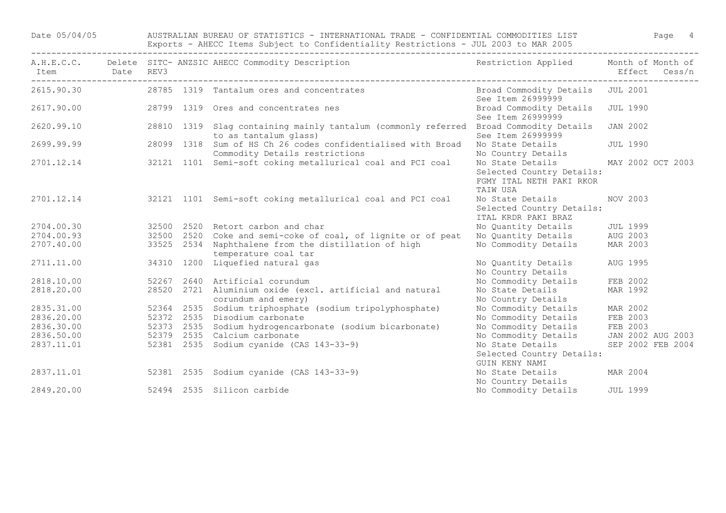Date 05/04/05 AUSTRALIAN BUREAU OF STATISTICS - INTERNATIONAL TRADE - CONFIDENTIAL COMMODITIES LIST Page 4 Exports - AHECC Items Subject to Confidentiality Restrictions - JUL 2003 to MAR 2005 ------------------------------------------------------------------------------------------------------------------------------------

| Item<br>---------------------------------- | Date REV3 |            | A.H.E.C.C. Delete SITC- ANZSIC AHECC Commodity Description                                     | Restriction Applied                                                                   | Effect          | Month of Month of<br>Cess/n |
|--------------------------------------------|-----------|------------|------------------------------------------------------------------------------------------------|---------------------------------------------------------------------------------------|-----------------|-----------------------------|
| 2615.90.30                                 |           |            | 28785 1319 Tantalum ores and concentrates                                                      | Broad Commodity Details JUL 2001<br>See Item 26999999                                 |                 |                             |
| 2617.90.00                                 |           |            | 28799 1319 Ores and concentrates nes                                                           | Broad Commodity Details<br>See Item 26999999                                          | <b>JUL 1990</b> |                             |
| 2620.99.10                                 |           |            | 28810 1319 Slag containing mainly tantalum (commonly referred<br>to as tantalum glass)         | Broad Commodity Details<br>See Item 26999999                                          | <b>JAN 2002</b> |                             |
| 2699.99.99                                 |           |            | 28099 1318 Sum of HS Ch 26 codes confidentialised with Broad<br>Commodity Details restrictions | No State Details<br>No Country Details                                                | <b>JUL 1990</b> |                             |
| 2701.12.14                                 |           |            | 32121 1101 Semi-soft coking metallurical coal and PCI coal                                     | No State Details<br>Selected Country Details:<br>FGMY ITAL NETH PAKI RKOR<br>TAIW USA |                 | MAY 2002 OCT 2003           |
| 2701.12.14                                 |           |            | 32121 1101 Semi-soft coking metallurical coal and PCI coal                                     | No State Details<br>Selected Country Details:<br>ITAL KRDR PAKI BRAZ                  | NOV 2003        |                             |
| 2704.00.30                                 |           |            | 32500 2520 Retort carbon and char                                                              | No Quantity Details                                                                   | <b>JUL 1999</b> |                             |
| 2704.00.93                                 |           |            | 32500 2520 Coke and semi-coke of coal, of lignite or of peat                                   | No Quantity Details                                                                   | AUG 2003        |                             |
| 2707.40.00                                 |           |            | 33525 2534 Naphthalene from the distillation of high<br>temperature coal tar                   | No Commodity Details                                                                  | MAR 2003        |                             |
| 2711.11.00                                 |           | 34310 1200 | Liquefied natural gas                                                                          | No Quantity Details<br>No Country Details                                             | AUG 1995        |                             |
| 2818.10.00                                 |           |            | 52267 2640 Artificial corundum                                                                 | No Commodity Details                                                                  | FEB 2002        |                             |
| 2818.20.00                                 |           |            | 28520 2721 Aluminium oxide (excl. artificial and natural                                       | No State Details                                                                      | MAR 1992        |                             |
|                                            |           |            | corundum and emery)                                                                            | No Country Details                                                                    |                 |                             |
| 2835.31.00                                 |           |            | 52364 2535 Sodium triphosphate (sodium tripolyphosphate)                                       | No Commodity Details                                                                  | MAR 2002        |                             |
| 2836.20.00                                 |           | 52372 2535 | Disodium carbonate                                                                             | No Commodity Details                                                                  | FEB 2003        |                             |
| 2836.30.00                                 |           | 52373 2535 | Sodium hydrogencarbonate (sodium bicarbonate)                                                  | No Commodity Details                                                                  | FEB 2003        |                             |
| 2836.50.00                                 |           |            | 52379 2535 Calcium carbonate                                                                   | No Commodity Details                                                                  |                 | JAN 2002 AUG 2003           |
| 2837.11.01                                 |           | 52381 2535 | Sodium cyanide (CAS 143-33-9)                                                                  | No State Details<br>Selected Country Details:<br>GUIN KENY NAMI                       |                 | SEP 2002 FEB 2004           |
| 2837.11.01                                 |           |            | 52381 2535 Sodium cyanide (CAS 143-33-9)                                                       | No State Details<br>No Country Details                                                | MAR 2004        |                             |
| 2849.20.00                                 |           |            | 52494 2535 Silicon carbide                                                                     | No Commodity Details                                                                  | <b>JUL 1999</b> |                             |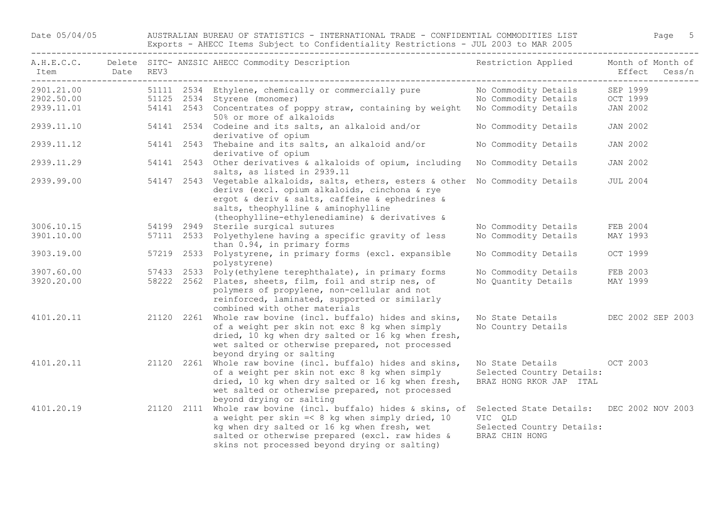## Date 05/04/05 AUSTRALIAN BUREAU OF STATISTICS - INTERNATIONAL TRADE - CONFIDENTIAL COMMODITIES LIST Page 5 Exports - AHECC Items Subject to Confidentiality Restrictions - JUL 2003 to MAR 2005

| A.H.E.C.C.<br>Item       | Date | REV3       | Delete SITC- ANZSIC AHECC Commodity Description                                                                                                                                                                                                                                                      | Restriction Applied                                                      | Month of Month of<br>Effect Cess/n |
|--------------------------|------|------------|------------------------------------------------------------------------------------------------------------------------------------------------------------------------------------------------------------------------------------------------------------------------------------------------------|--------------------------------------------------------------------------|------------------------------------|
| 2901.21.00<br>2902.50.00 |      |            | 51111 2534 Ethylene, chemically or commercially pure<br>51125 2534 Styrene (monomer)                                                                                                                                                                                                                 | No Commodity Details<br>No Commodity Details                             | SEP 1999<br>OCT 1999               |
| 2939.11.01               |      |            | 54141 2543 Concentrates of poppy straw, containing by weight<br>50% or more of alkaloids                                                                                                                                                                                                             | No Commodity Details                                                     | JAN 2002                           |
| 2939.11.10               |      |            | 54141 2534 Codeine and its salts, an alkaloid and/or<br>derivative of opium                                                                                                                                                                                                                          | No Commodity Details                                                     | <b>JAN 2002</b>                    |
| 2939.11.12               |      |            | 54141 2543 Thebaine and its salts, an alkaloid and/or<br>derivative of opium                                                                                                                                                                                                                         | No Commodity Details                                                     | <b>JAN 2002</b>                    |
| 2939.11.29               |      |            | 54141 2543 Other derivatives & alkaloids of opium, including<br>salts, as listed in 2939.11                                                                                                                                                                                                          | No Commodity Details                                                     | <b>JAN 2002</b>                    |
| 2939.99.00               |      |            | 54147 2543 Vegetable alkaloids, salts, ethers, esters & other No Commodity Details<br>derivs (excl. opium alkaloids, cinchona & rye<br>ergot & deriv & salts, caffeine & ephedrines &<br>salts, theophylline & aminophylline<br>(theophylline-ethylenediamine) & derivatives &                       |                                                                          | <b>JUL 2004</b>                    |
| 3006.10.15               |      |            | 54199 2949 Sterile surgical sutures                                                                                                                                                                                                                                                                  | No Commodity Details                                                     | FEB 2004                           |
| 3901.10.00               |      |            | 57111 2533 Polyethylene having a specific gravity of less<br>than 0.94, in primary forms                                                                                                                                                                                                             | No Commodity Details                                                     | MAY 1993                           |
| 3903.19.00               |      |            | 57219 2533 Polystyrene, in primary forms (excl. expansible<br>polystyrene)                                                                                                                                                                                                                           | No Commodity Details                                                     | OCT 1999                           |
| 3907.60.00               |      |            | 57433 2533 Poly (ethylene terephthalate), in primary forms                                                                                                                                                                                                                                           | No Commodity Details                                                     | FEB 2003                           |
| 3920.20.00               |      |            | 58222 2562 Plates, sheets, film, foil and strip nes, of<br>polymers of propylene, non-cellular and not<br>reinforced, laminated, supported or similarly<br>combined with other materials                                                                                                             | No Quantity Details                                                      | MAY 1999                           |
| 4101.20.11               |      |            | 21120 2261 Whole raw bovine (incl. buffalo) hides and skins,<br>of a weight per skin not exc 8 kg when simply<br>dried, 10 kg when dry salted or 16 kg when fresh,<br>wet salted or otherwise prepared, not processed<br>beyond drying or salting                                                    | No State Details<br>No Country Details                                   | DEC 2002 SEP 2003                  |
| 4101.20.11               |      | 21120 2261 | Whole raw bovine (incl. buffalo) hides and skins,<br>of a weight per skin not exc 8 kg when simply<br>dried, 10 kg when dry salted or 16 kg when fresh,<br>wet salted or otherwise prepared, not processed<br>beyond drying or salting                                                               | No State Details<br>Selected Country Details:<br>BRAZ HONG RKOR JAP ITAL | OCT 2003                           |
| 4101.20.19               |      | 21120 2111 | Whole raw bovine (incl. buffalo) hides & skins, of Selected State Details: DEC 2002 NOV 2003<br>a weight per skin $=<$ 8 kg when simply dried, 10<br>kg when dry salted or 16 kg when fresh, wet<br>salted or otherwise prepared (excl. raw hides &<br>skins not processed beyond drying or salting) | VIC QLD<br>Selected Country Details:<br>BRAZ CHIN HONG                   |                                    |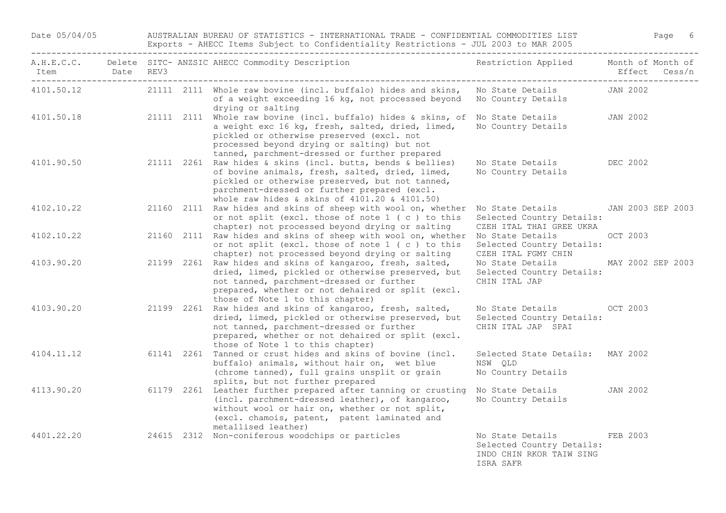Date 05/04/05 AUSTRALIAN BUREAU OF STATISTICS - INTERNATIONAL TRADE - CONFIDENTIAL COMMODITIES LIST Page 6 Exports - AHECC Items Subject to Confidentiality Restrictions - JUL 2003 to MAR 2005

| Item       | Date | REV3 | A.H.E.C.C. Delete SITC- ANZSIC AHECC Commodity Description                                                                                                                                                                                                         | Restriction Applied Month of Month of                                                  |                   | Effect Cess/n     |
|------------|------|------|--------------------------------------------------------------------------------------------------------------------------------------------------------------------------------------------------------------------------------------------------------------------|----------------------------------------------------------------------------------------|-------------------|-------------------|
| 4101.50.12 |      |      | 21111 2111 Whole raw bovine (incl. buffalo) hides and skins,<br>of a weight exceeding 16 kg, not processed beyond<br>drying or salting                                                                                                                             | No State Details<br>No Country Details                                                 | JAN 2002          |                   |
| 4101.50.18 |      |      | 21111 2111 Whole raw bovine (incl. buffalo) hides & skins, of<br>a weight exc 16 kg, fresh, salted, dried, limed,<br>pickled or otherwise preserved (excl. not<br>processed beyond drying or salting) but not<br>tanned, parchment-dressed or further prepared     | No State Details<br>No Country Details                                                 | JAN 2002          |                   |
| 4101.90.50 |      |      | 21111 2261 Raw hides & skins (incl. butts, bends & bellies)<br>of bovine animals, fresh, salted, dried, limed,<br>pickled or otherwise preserved, but not tanned,<br>parchment-dressed or further prepared (excl.<br>whole raw hides & skins of 4101.20 & 4101.50) | No State Details<br>No Country Details                                                 | DEC 2002          |                   |
| 4102.10.22 |      |      | 21160 2111 Raw hides and skins of sheep with wool on, whether<br>or not split (excl. those of note 1 (c) to this<br>chapter) not processed beyond drying or salting                                                                                                | No State Details<br>Selected Country Details:<br>CZEH ITAL THAI GREE UKRA              |                   | JAN 2003 SEP 2003 |
| 4102.10.22 |      |      | 21160 2111 Raw hides and skins of sheep with wool on, whether<br>or not split (excl. those of note 1 (c) to this<br>chapter) not processed beyond drying or salting                                                                                                | No State Details<br>Selected Country Details:<br>CZEH ITAL FGMY CHIN                   | OCT 2003          |                   |
| 4103.90.20 |      |      | 21199 2261 Raw hides and skins of kangaroo, fresh, salted,<br>dried, limed, pickled or otherwise preserved, but<br>not tanned, parchment-dressed or further<br>prepared, whether or not dehaired or split (excl.<br>those of Note 1 to this chapter)               | No State Details<br>Selected Country Details:<br>CHIN ITAL JAP                         | MAY 2002 SEP 2003 |                   |
| 4103.90.20 |      |      | 21199 2261 Raw hides and skins of kangaroo, fresh, salted,<br>dried, limed, pickled or otherwise preserved, but<br>not tanned, parchment-dressed or further<br>prepared, whether or not dehaired or split (excl.<br>those of Note 1 to this chapter)               | No State Details<br>Selected Country Details:<br>CHIN ITAL JAP SPAI                    | OCT 2003          |                   |
| 4104.11.12 |      |      | 61141 2261 Tanned or crust hides and skins of bovine (incl.<br>buffalo) animals, without hair on, wet blue<br>(chrome tanned), full grains unsplit or grain<br>splits, but not further prepared                                                                    | Selected State Details: MAY 2002<br>NSW QLD<br>No Country Details                      |                   |                   |
| 4113.90.20 |      |      | 61179 2261 Leather further prepared after tanning or crusting<br>(incl. parchment-dressed leather), of kangaroo,<br>without wool or hair on, whether or not split,<br>(excl. chamois, patent, patent laminated and<br>metallised leather)                          | No State Details<br>No Country Details                                                 | <b>JAN 2002</b>   |                   |
| 4401.22.20 |      |      | 24615 2312 Non-coniferous woodchips or particles                                                                                                                                                                                                                   | No State Details<br>Selected Country Details:<br>INDO CHIN RKOR TAIW SING<br>ISRA SAFR | FEB 2003          |                   |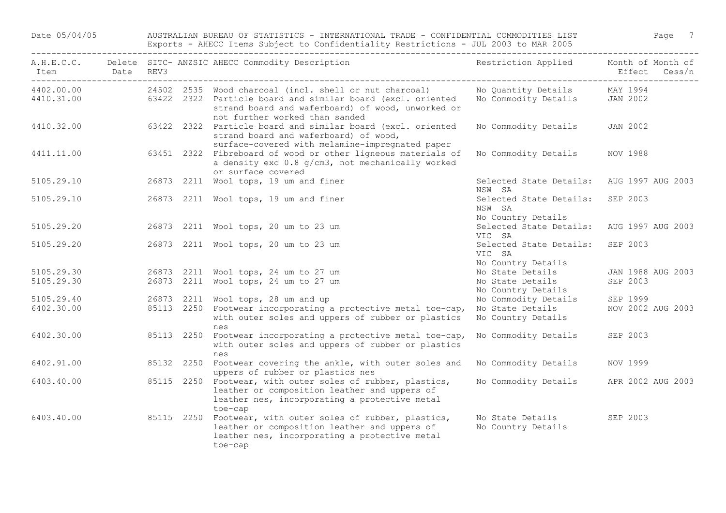Date 05/04/05 AUSTRALIAN BUREAU OF STATISTICS - INTERNATIONAL TRADE - CONFIDENTIAL COMMODITIES LIST Page 7 Exports - AHECC Items Subject to Confidentiality Restrictions - JUL 2003 to MAR 2005

| A.H.E.C.C.<br>Item<br>--------- | Date | REV3       | Delete SITC- ANZSIC AHECC Commodity Description                                                                                                                                                              | Restriction Applied                                              | Month of Month of<br>Effect<br>Cess/n |
|---------------------------------|------|------------|--------------------------------------------------------------------------------------------------------------------------------------------------------------------------------------------------------------|------------------------------------------------------------------|---------------------------------------|
| 4402.00.00<br>4410.31.00        |      |            | 24502 2535 Wood charcoal (incl. shell or nut charcoal)<br>63422 2322 Particle board and similar board (excl. oriented<br>strand board and waferboard) of wood, unworked or<br>not further worked than sanded | No Quantity Details<br>No Commodity Details                      | MAY 1994<br>JAN 2002                  |
| 4410.32.00                      |      |            | 63422 2322 Particle board and similar board (excl. oriented<br>strand board and waferboard) of wood,<br>surface-covered with melamine-impregnated paper                                                      | No Commodity Details                                             | <b>JAN 2002</b>                       |
| 4411.11.00                      |      |            | 63451 2322 Fibreboard of wood or other ligneous materials of<br>a density exc 0.8 g/cm3, not mechanically worked<br>or surface covered                                                                       | No Commodity Details                                             | NOV 1988                              |
| 5105.29.10                      |      |            | 26873 2211 Wool tops, 19 um and finer                                                                                                                                                                        | Selected State Details:<br>NSW SA                                | AUG 1997 AUG 2003                     |
| 5105.29.10                      |      |            | 26873 2211 Wool tops, 19 um and finer                                                                                                                                                                        | Selected State Details: SEP 2003<br>NSW SA<br>No Country Details |                                       |
| 5105.29.20                      |      |            | 26873 2211 Wool tops, 20 um to 23 um                                                                                                                                                                         | Selected State Details:<br>VIC SA                                | AUG 1997 AUG 2003                     |
| 5105.29.20                      |      |            | 26873 2211 Wool tops, 20 um to 23 um                                                                                                                                                                         | Selected State Details:<br>VIC SA<br>No Country Details          | SEP 2003                              |
| 5105.29.30                      |      |            | 26873 2211 Wool tops, 24 um to 27 um                                                                                                                                                                         | No State Details                                                 | JAN 1988 AUG 2003                     |
| 5105.29.30                      |      |            | 26873 2211 Wool tops, 24 um to 27 um                                                                                                                                                                         | No State Details<br>No Country Details                           | SEP 2003                              |
| 5105.29.40                      |      |            | 26873 2211 Wool tops, 28 um and up                                                                                                                                                                           | No Commodity Details                                             | SEP 1999                              |
| 6402.30.00                      |      |            | 85113 2250 Footwear incorporating a protective metal toe-cap,<br>with outer soles and uppers of rubber or plastics<br>nes                                                                                    | No State Details<br>No Country Details                           | NOV 2002 AUG 2003                     |
| 6402.30.00                      |      | 85113 2250 | Footwear incorporating a protective metal toe-cap,<br>with outer soles and uppers of rubber or plastics<br>nes                                                                                               | No Commodity Details                                             | SEP 2003                              |
| 6402.91.00                      |      | 85132 2250 | Footwear covering the ankle, with outer soles and<br>uppers of rubber or plastics nes                                                                                                                        | No Commodity Details                                             | NOV 1999                              |
| 6403.40.00                      |      |            | 85115 2250 Footwear, with outer soles of rubber, plastics,<br>leather or composition leather and uppers of<br>leather nes, incorporating a protective metal<br>toe-cap                                       | No Commodity Details                                             | APR 2002 AUG 2003                     |
| 6403.40.00                      |      |            | 85115 2250 Footwear, with outer soles of rubber, plastics,<br>leather or composition leather and uppers of<br>leather nes, incorporating a protective metal<br>toe-cap                                       | No State Details<br>No Country Details                           | SEP 2003                              |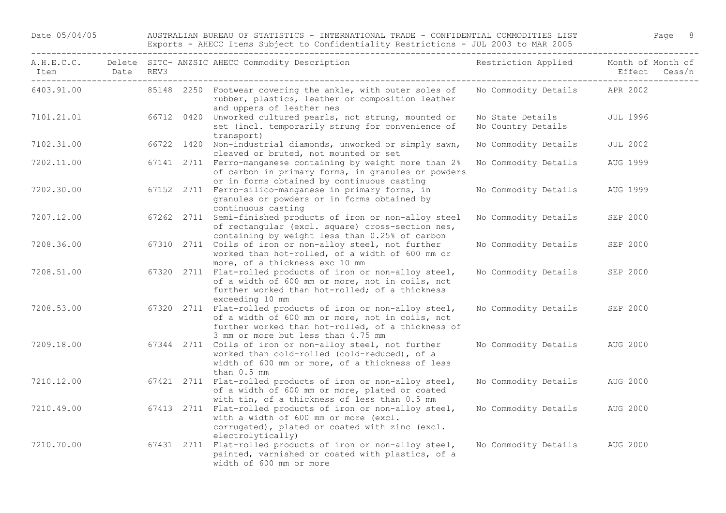Date 05/04/05 AUSTRALIAN BUREAU OF STATISTICS - INTERNATIONAL TRADE - CONFIDENTIAL COMMODITIES LIST Page 8 Exports - AHECC Items Subject to Confidentiality Restrictions - JUL 2003 to MAR 2005

| A.H.E.C.C.<br>Item | Date | REV3 | Delete SITC- ANZSIC AHECC Commodity Description                                                                                                                                                           | Restriction Applied                    | Month of Month of<br>Effect<br>Cess/n |
|--------------------|------|------|-----------------------------------------------------------------------------------------------------------------------------------------------------------------------------------------------------------|----------------------------------------|---------------------------------------|
| 6403.91.00         |      |      | 85148 2250 Footwear covering the ankle, with outer soles of<br>rubber, plastics, leather or composition leather<br>and uppers of leather nes                                                              | No Commodity Details                   | APR 2002                              |
| 7101.21.01         |      |      | 66712 0420 Unworked cultured pearls, not strung, mounted or<br>set (incl. temporarily strung for convenience of<br>transport)                                                                             | No State Details<br>No Country Details | <b>JUL 1996</b>                       |
| 7102.31.00         |      |      | 66722 1420 Non-industrial diamonds, unworked or simply sawn,<br>cleaved or bruted, not mounted or set                                                                                                     | No Commodity Details                   | <b>JUL 2002</b>                       |
| 7202.11.00         |      |      | 67141 2711 Ferro-manganese containing by weight more than 2%<br>of carbon in primary forms, in granules or powders<br>or in forms obtained by continuous casting                                          | No Commodity Details                   | AUG 1999                              |
| 7202.30.00         |      |      | 67152 2711 Ferro-silico-manganese in primary forms, in<br>granules or powders or in forms obtained by<br>continuous casting                                                                               | No Commodity Details                   | AUG 1999                              |
| 7207.12.00         |      |      | 67262 2711 Semi-finished products of iron or non-alloy steel<br>of rectangular (excl. square) cross-section nes,<br>containing by weight less than 0.25% of carbon                                        | No Commodity Details                   | SEP 2000                              |
| 7208.36.00         |      |      | 67310 2711 Coils of iron or non-alloy steel, not further<br>worked than hot-rolled, of a width of 600 mm or<br>more, of a thickness exc 10 mm                                                             | No Commodity Details                   | SEP 2000                              |
| 7208.51.00         |      |      | 67320 2711 Flat-rolled products of iron or non-alloy steel,<br>of a width of 600 mm or more, not in coils, not<br>further worked than hot-rolled; of a thickness<br>exceeding 10 mm                       | No Commodity Details                   | SEP 2000                              |
| 7208.53.00         |      |      | 67320 2711 Flat-rolled products of iron or non-alloy steel,<br>of a width of 600 mm or more, not in coils, not<br>further worked than hot-rolled, of a thickness of<br>3 mm or more but less than 4.75 mm | No Commodity Details                   | SEP 2000                              |
| 7209.18.00         |      |      | 67344 2711 Coils of iron or non-alloy steel, not further<br>worked than cold-rolled (cold-reduced), of a<br>width of 600 mm or more, of a thickness of less<br>than $0.5$ mm                              | No Commodity Details                   | AUG 2000                              |
| 7210.12.00         |      |      | 67421 2711 Flat-rolled products of iron or non-alloy steel,<br>of a width of 600 mm or more, plated or coated<br>with tin, of a thickness of less than 0.5 mm                                             | No Commodity Details                   | AUG 2000                              |
| 7210.49.00         |      |      | 67413 2711 Flat-rolled products of iron or non-alloy steel,<br>with a width of 600 mm or more (excl.<br>corrugated), plated or coated with zinc (excl.<br>electrolytically)                               | No Commodity Details                   | AUG 2000                              |
| 7210.70.00         |      |      | 67431 2711 Flat-rolled products of iron or non-alloy steel,<br>painted, varnished or coated with plastics, of a<br>width of 600 mm or more                                                                | No Commodity Details                   | AUG 2000                              |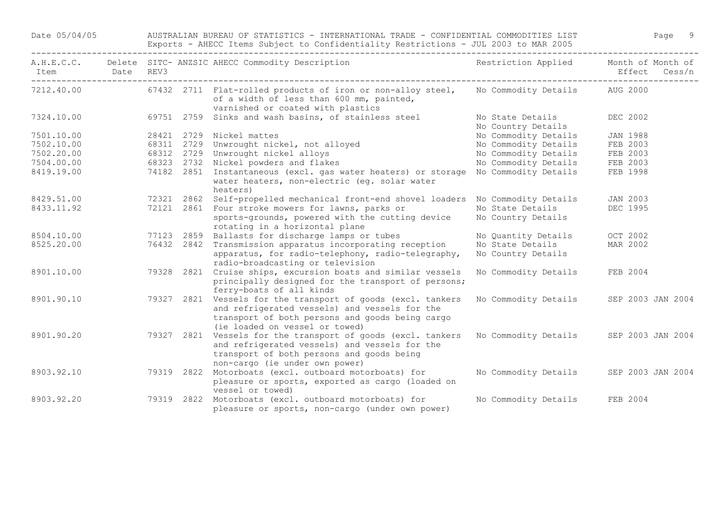Date 05/04/05 AUSTRALIAN BUREAU OF STATISTICS - INTERNATIONAL TRADE - CONFIDENTIAL COMMODITIES LIST Page 9 Exports - AHECC Items Subject to Confidentiality Restrictions - JUL 2003 to MAR 2005

| A.H.E.C.C.<br>Item | Date | REV3       |            | Delete SITC- ANZSIC AHECC Commodity Description                                                                                                                                              | Restriction Applied                    | Month of Month of<br>Effect<br>Cess/n |
|--------------------|------|------------|------------|----------------------------------------------------------------------------------------------------------------------------------------------------------------------------------------------|----------------------------------------|---------------------------------------|
| 7212.40.00         |      |            |            | 67432 2711 Flat-rolled products of iron or non-alloy steel,<br>of a width of less than 600 mm, painted,<br>varnished or coated with plastics                                                 | No Commodity Details                   | AUG 2000                              |
| 7324.10.00         |      |            | 69751 2759 | Sinks and wash basins, of stainless steel                                                                                                                                                    | No State Details<br>No Country Details | DEC 2002                              |
| 7501.10.00         |      |            |            | 28421 2729 Nickel mattes                                                                                                                                                                     | No Commodity Details                   | <b>JAN 1988</b>                       |
| 7502.10.00         |      |            |            | 68311 2729 Unwrought nickel, not alloyed                                                                                                                                                     | No Commodity Details                   | FEB 2003                              |
| 7502.20.00         |      |            |            | 68312 2729 Unwrought nickel alloys                                                                                                                                                           | No Commodity Details                   | FEB 2003                              |
| 7504.00.00         |      |            |            | 68323 2732 Nickel powders and flakes                                                                                                                                                         | No Commodity Details                   | FEB 2003                              |
| 8419.19.00         |      | 74182 2851 |            | Instantaneous (excl. gas water heaters) or storage<br>water heaters, non-electric (eq. solar water<br>heaters)                                                                               | No Commodity Details                   | FEB 1998                              |
| 8429.51.00         |      | 72321 2862 |            | Self-propelled mechanical front-end shovel loaders                                                                                                                                           | No Commodity Details                   | <b>JAN 2003</b>                       |
| 8433.11.92         |      |            | 72121 2861 | Four stroke mowers for lawns, parks or<br>sports-grounds, powered with the cutting device<br>rotating in a horizontal plane                                                                  | No State Details<br>No Country Details | DEC 1995                              |
| 8504.10.00         |      |            |            | 77123 2859 Ballasts for discharge lamps or tubes                                                                                                                                             | No Quantity Details                    | OCT 2002                              |
| 8525.20.00         |      | 76432 2842 |            | Transmission apparatus incorporating reception<br>apparatus, for radio-telephony, radio-telegraphy,<br>radio-broadcasting or television                                                      | No State Details<br>No Country Details | MAR 2002                              |
| 8901.10.00         |      | 79328 2821 |            | Cruise ships, excursion boats and similar vessels<br>principally designed for the transport of persons;<br>ferry-boats of all kinds                                                          | No Commodity Details                   | FEB 2004                              |
| 8901.90.10         |      | 79327 2821 |            | Vessels for the transport of goods (excl. tankers<br>and refrigerated vessels) and vessels for the<br>transport of both persons and goods being cargo<br>(ie loaded on vessel or towed)      | No Commodity Details                   | SEP 2003 JAN 2004                     |
| 8901.90.20         |      |            |            | 79327 2821 Vessels for the transport of goods (excl. tankers<br>and refrigerated vessels) and vessels for the<br>transport of both persons and goods being<br>non-cargo (ie under own power) | No Commodity Details                   | SEP 2003 JAN 2004                     |
| 8903.92.10         |      | 79319 2822 |            | Motorboats (excl. outboard motorboats) for<br>pleasure or sports, exported as cargo (loaded on<br>vessel or towed)                                                                           | No Commodity Details                   | SEP 2003 JAN 2004                     |
| 8903.92.20         |      |            |            | 79319 2822 Motorboats (excl. outboard motorboats) for<br>pleasure or sports, non-cargo (under own power)                                                                                     | No Commodity Details                   | FEB 2004                              |